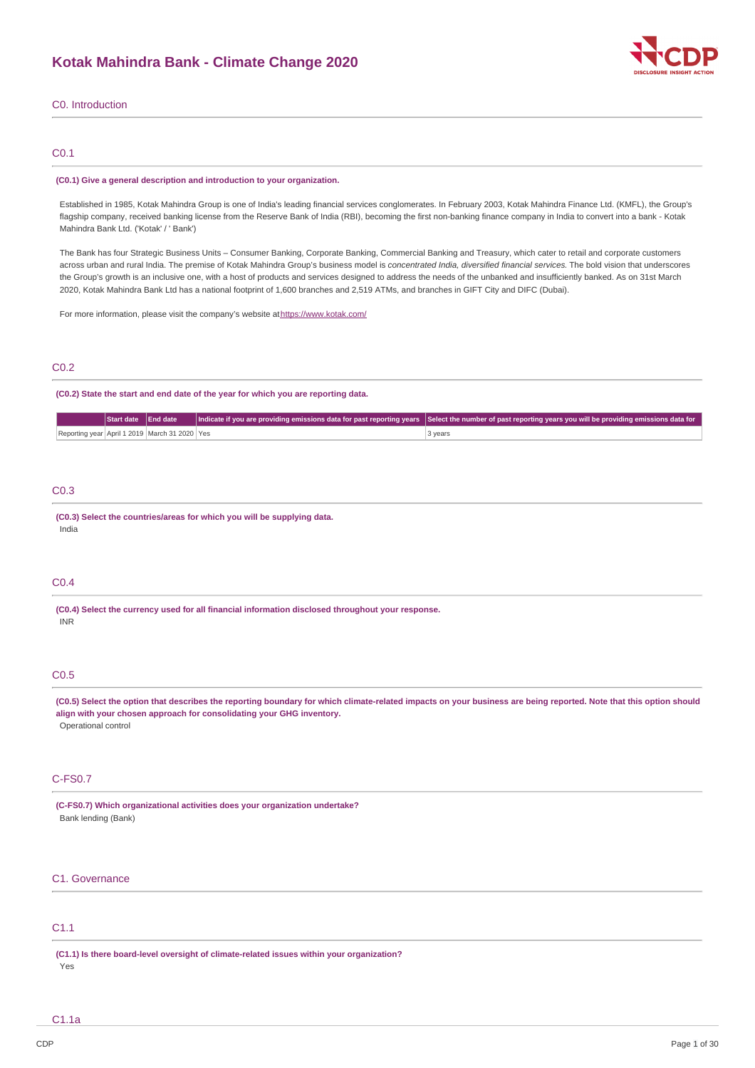

## C0. Introduction

## C0.1

#### **(C0.1) Give a general description and introduction to your organization.**

Established in 1985, Kotak Mahindra Group is one of India's leading financial services conglomerates. In February 2003, Kotak Mahindra Finance Ltd. (KMFL), the Group's flagship company, received banking license from the Reserve Bank of India (RBI), becoming the first non-banking finance company in India to convert into a bank - Kotak Mahindra Bank Ltd. ('Kotak' / ' Bank')

The Bank has four Strategic Business Units – Consumer Banking, Corporate Banking, Commercial Banking and Treasury, which cater to retail and corporate customers across urban and rural India. The premise of Kotak Mahindra Group's business model is *concentrated India, diversified financial services*. The bold vision that underscores the Group's growth is an inclusive one, with a host of products and services designed to address the needs of the unbanked and insufficiently banked. As on 31st March 2020, Kotak Mahindra Bank Ltd has a national footprint of 1,600 branches and 2,519 ATMs, and branches in GIFT City and DIFC (Dubai).

For more information, please visit the company's website a[thttps://www.kotak.com/](https://www.kotak.com/)

## C0.2

### **(C0.2) State the start and end date of the year for which you are reporting data.**

|                                               |  | Start date End date Indicate if you are providing emissions data for past reporting years Select the number of past reporting years you will be providing emissions data for |
|-----------------------------------------------|--|------------------------------------------------------------------------------------------------------------------------------------------------------------------------------|
| Reporting year April 1 2019 March 31 2020 Yes |  | 3 years                                                                                                                                                                      |

## C0.3

**(C0.3) Select the countries/areas for which you will be supplying data.** India

## C0.4

**(C0.4) Select the currency used for all financial information disclosed throughout your response.** INR

## C0.5

(C0.5) Select the option that describes the reporting boundary for which climate-related impacts on your business are being reported. Note that this option should **align with your chosen approach for consolidating your GHG inventory.** Operational control

#### C-FS0.7

**(C-FS0.7) Which organizational activities does your organization undertake?** Bank lending (Bank)

## C1. Governance

## C1.1

**(C1.1) Is there board-level oversight of climate-related issues within your organization?**

Yes

C1.1a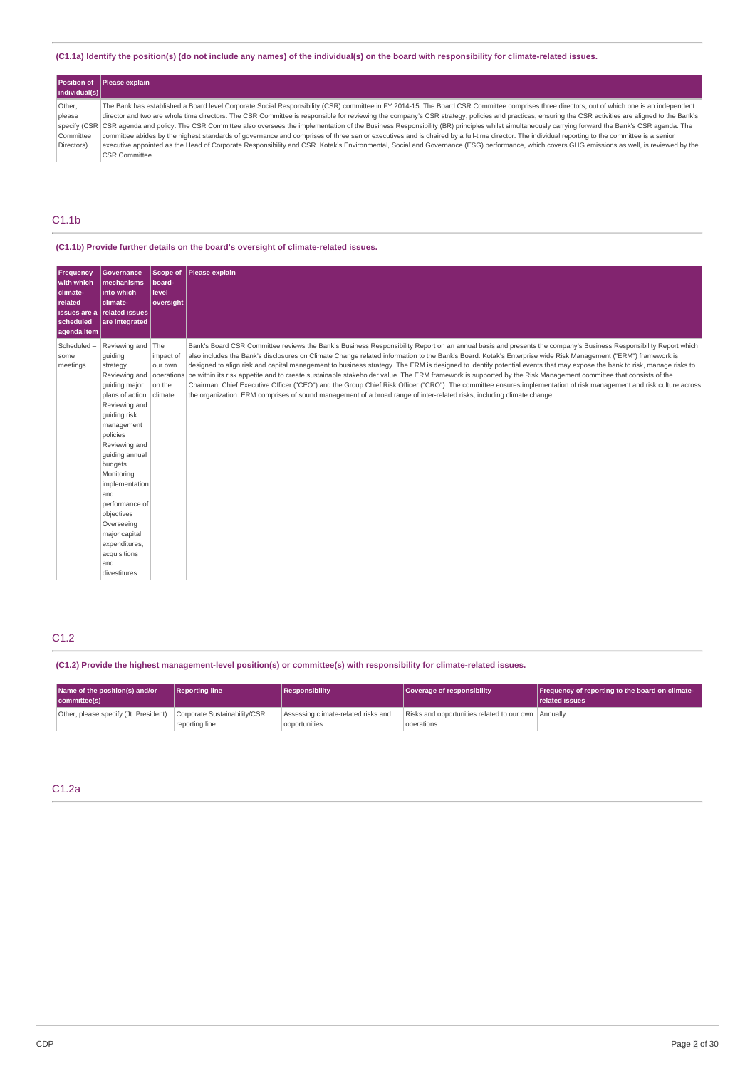### (C1.1a) Identify the position(s) (do not include any names) of the individual(s) on the board with responsibility for climate-related issues.

|               | <b>Position of Please explain</b>                                                                                                                                                                         |
|---------------|-----------------------------------------------------------------------------------------------------------------------------------------------------------------------------------------------------------|
| individual(s) |                                                                                                                                                                                                           |
| Other.        | The Bank has established a Board level Corporate Social Responsibility (CSR) committee in FY 2014-15. The Board CSR Committee comprises three directors, out of which one is an independent               |
| please        | director and two are whole time directors. The CSR Committee is responsible for reviewing the company's CSR strategy, policies and practices, ensuring the CSR activities are aligned to the Bank's       |
|               | specify (CSR   CSR agenda and policy. The CSR Committee also oversees the implementation of the Business Responsibility (BR) principles whilst simultaneously carrying forward the Bank's CSR agenda. The |
| Committee     | committee abides by the highest standards of governance and comprises of three senior executives and is chaired by a full-time director. The individual reporting to the committee is a senior            |
| Directors)    | executive appointed as the Head of Corporate Responsibility and CSR, Kotak's Environmental, Social and Governance (ESG) performance, which covers GHG emissions as well, is reviewed by the               |
|               | CSR Committee.                                                                                                                                                                                            |

## C1.1b

## **(C1.1b) Provide further details on the board's oversight of climate-related issues.**

| <b>Frequency</b><br>with which<br>climate-<br>related<br>scheduled<br>aqenda item | <b>Governance</b><br>mechanisms<br>linto which<br>climate-<br>issues are a related issues<br>are integrated                                                                                                                                                                                                                                                                             | Scope of<br>board-<br>level<br>oversight | Please explain                                                                                                                                                                                                                                                                                                                                                                                                                                                                                                                                                                                                                                                                                                                                                                                                                                                                                                                                                              |
|-----------------------------------------------------------------------------------|-----------------------------------------------------------------------------------------------------------------------------------------------------------------------------------------------------------------------------------------------------------------------------------------------------------------------------------------------------------------------------------------|------------------------------------------|-----------------------------------------------------------------------------------------------------------------------------------------------------------------------------------------------------------------------------------------------------------------------------------------------------------------------------------------------------------------------------------------------------------------------------------------------------------------------------------------------------------------------------------------------------------------------------------------------------------------------------------------------------------------------------------------------------------------------------------------------------------------------------------------------------------------------------------------------------------------------------------------------------------------------------------------------------------------------------|
| Scheduled-<br>some<br>meetings                                                    | Reviewing and The<br>quiding<br>strategy<br>Reviewing and operations<br>quiding major<br>plans of action climate<br>Reviewing and<br>guiding risk<br>management<br>policies<br>Reviewing and<br>guiding annual<br>budgets<br>Monitoring<br>implementation<br>and<br>performance of<br>objectives<br>Overseeing<br>major capital<br>expenditures,<br>acquisitions<br>and<br>divestitures | impact of<br>our own<br>on the           | Bank's Board CSR Committee reviews the Bank's Business Responsibility Report on an annual basis and presents the company's Business Responsibility Report which<br>also includes the Bank's disclosures on Climate Change related information to the Bank's Board. Kotak's Enterprise wide Risk Management ("ERM") framework is<br>designed to align risk and capital management to business strategy. The ERM is designed to identify potential events that may expose the bank to risk, manage risks to<br>be within its risk appetite and to create sustainable stakeholder value. The ERM framework is supported by the Risk Management committee that consists of the<br>Chairman, Chief Executive Officer ("CEO") and the Group Chief Risk Officer ("CRO"). The committee ensures implementation of risk management and risk culture across<br>the organization. ERM comprises of sound management of a broad range of inter-related risks, including climate change. |

## C1.2

## **(C1.2) Provide the highest management-level position(s) or committee(s) with responsibility for climate-related issues.**

| Name of the position(s) and/or<br>committee(s) | <b>Reporting line</b>                          | <b>Responsibility</b>                                | Coverage of responsibility                                        | Frequency of reporting to the board on climate-<br><b>related issues</b> |
|------------------------------------------------|------------------------------------------------|------------------------------------------------------|-------------------------------------------------------------------|--------------------------------------------------------------------------|
| Other, please specify (Jt. President)          | Corporate Sustainability/CSR<br>reporting line | Assessing climate-related risks and<br>opportunities | Risks and opportunities related to our own Annually<br>operations |                                                                          |

## C1.2a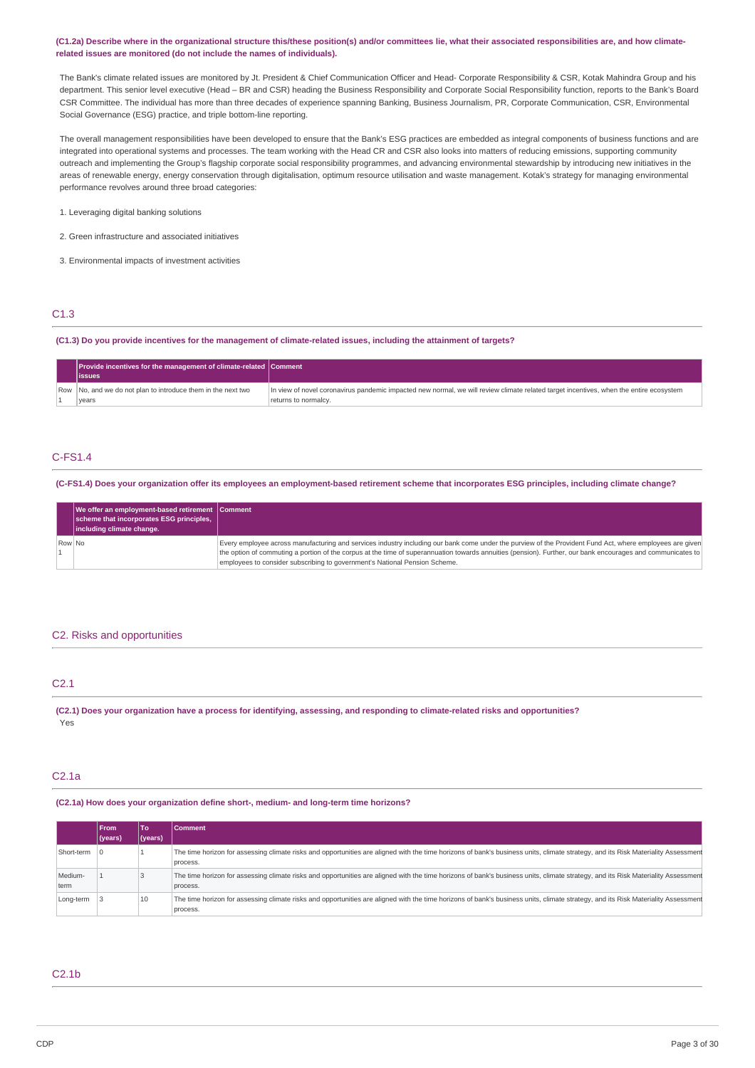#### (C1.2a) Describe where in the organizational structure this/these position(s) and/or committees lie, what their associated responsibilities are, and how climate**related issues are monitored (do not include the names of individuals).**

The Bank's climate related issues are monitored by Jt. President & Chief Communication Officer and Head- Corporate Responsibility & CSR, Kotak Mahindra Group and his department. This senior level executive (Head – BR and CSR) heading the Business Responsibility and Corporate Social Responsibility function, reports to the Bank's Board CSR Committee. The individual has more than three decades of experience spanning Banking, Business Journalism, PR, Corporate Communication, CSR, Environmental Social Governance (ESG) practice, and triple bottom-line reporting.

The overall management responsibilities have been developed to ensure that the Bank's ESG practices are embedded as integral components of business functions and are integrated into operational systems and processes. The team working with the Head CR and CSR also looks into matters of reducing emissions, supporting community outreach and implementing the Group's flagship corporate social responsibility programmes, and advancing environmental stewardship by introducing new initiatives in the areas of renewable energy, energy conservation through digitalisation, optimum resource utilisation and waste management. Kotak's strategy for managing environmental performance revolves around three broad categories:

- 1. Leveraging digital banking solutions
- 2. Green infrastructure and associated initiatives
- 3. Environmental impacts of investment activities

## C1.3

(C1.3) Do you provide incentives for the management of climate-related issues, including the attainment of targets?

| Provide incentives for the management of climate-related Comment<br>lissues |                                                                                                                                                                |
|-----------------------------------------------------------------------------|----------------------------------------------------------------------------------------------------------------------------------------------------------------|
| Row No, and we do not plan to introduce them in the next two<br>years       | In view of novel coronavirus pandemic impacted new normal, we will review climate related target incentives, when the entire ecosystem<br>returns to normalcy. |

## C-FS1.4

(C-FS1.4) Does your organization offer its employees an employment-based retirement scheme that incorporates ESG principles, including climate change?

|        | We offer an employment-based retirement Comment<br>scheme that incorporates ESG principles,<br>including climate change. |                                                                                                                                                                                                                                                                                                                                                                                                       |
|--------|--------------------------------------------------------------------------------------------------------------------------|-------------------------------------------------------------------------------------------------------------------------------------------------------------------------------------------------------------------------------------------------------------------------------------------------------------------------------------------------------------------------------------------------------|
| Row No |                                                                                                                          | Every employee across manufacturing and services industry including our bank come under the purview of the Provident Fund Act, where employees are given<br>the option of commuting a portion of the corpus at the time of superannuation towards annuities (pension). Further, our bank encourages and communicates to<br>employees to consider subscribing to government's National Pension Scheme. |

#### C2. Risks and opportunities

## C2.1

(C2.1) Does your organization have a process for identifying, assessing, and responding to climate-related risks and opportunities? Yes

### C2.1a

**(C2.1a) How does your organization define short-, medium- and long-term time horizons?**

|                 | <b>IFrom</b> | To      | <b> Comment</b>                                                                                                                                                                               |
|-----------------|--------------|---------|-----------------------------------------------------------------------------------------------------------------------------------------------------------------------------------------------|
|                 | (years)      | (years) |                                                                                                                                                                                               |
| Short-term      |              |         | The time horizon for assessing climate risks and opportunities are aligned with the time horizons of bank's business units, climate strategy, and its Risk Materiality Assessment<br>process. |
| Medium-<br>term |              |         | The time horizon for assessing climate risks and opportunities are aligned with the time horizons of bank's business units, climate strategy, and its Risk Materiality Assessment<br>process. |
| Long-term       |              | 10      | The time horizon for assessing climate risks and opportunities are aligned with the time horizons of bank's business units, climate strategy, and its Risk Materiality Assessment<br>process. |

### C2.1b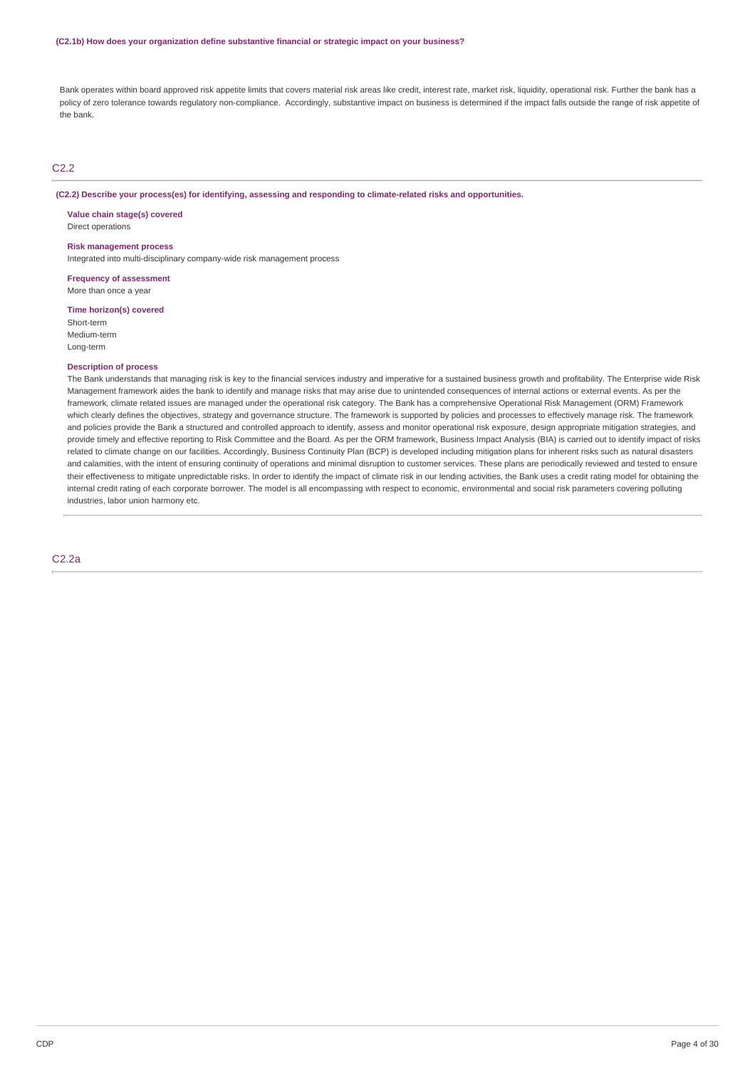Bank operates within board approved risk appetite limits that covers material risk areas like credit, interest rate, market risk, liquidity, operational risk. Further the bank has a policy of zero tolerance towards regulatory non-compliance. Accordingly, substantive impact on business is determined if the impact falls outside the range of risk appetite of the bank.

### C2.2

#### **(C2.2) Describe your process(es) for identifying, assessing and responding to climate-related risks and opportunities.**

**Value chain stage(s) covered** Direct operations

#### **Risk management process**

Integrated into multi-disciplinary company-wide risk management process

**Frequency of assessment** More than once a year

**Time horizon(s) covered** Short-term Medium-term Long-term

### **Description of process**

The Bank understands that managing risk is key to the financial services industry and imperative for a sustained business growth and profitability. The Enterprise wide Risk Management framework aides the bank to identify and manage risks that may arise due to unintended consequences of internal actions or external events. As per the framework, climate related issues are managed under the operational risk category. The Bank has a comprehensive Operational Risk Management (ORM) Framework which clearly defines the objectives, strategy and governance structure. The framework is supported by policies and processes to effectively manage risk. The framework and policies provide the Bank a structured and controlled approach to identify, assess and monitor operational risk exposure, design appropriate mitigation strategies, and provide timely and effective reporting to Risk Committee and the Board. As per the ORM framework, Business Impact Analysis (BIA) is carried out to identify impact of risks related to climate change on our facilities. Accordingly, Business Continuity Plan (BCP) is developed including mitigation plans for inherent risks such as natural disasters and calamities, with the intent of ensuring continuity of operations and minimal disruption to customer services. These plans are periodically reviewed and tested to ensure their effectiveness to mitigate unpredictable risks. In order to identify the impact of climate risk in our lending activities, the Bank uses a credit rating model for obtaining the internal credit rating of each corporate borrower. The model is all encompassing with respect to economic, environmental and social risk parameters covering polluting industries, labor union harmony etc.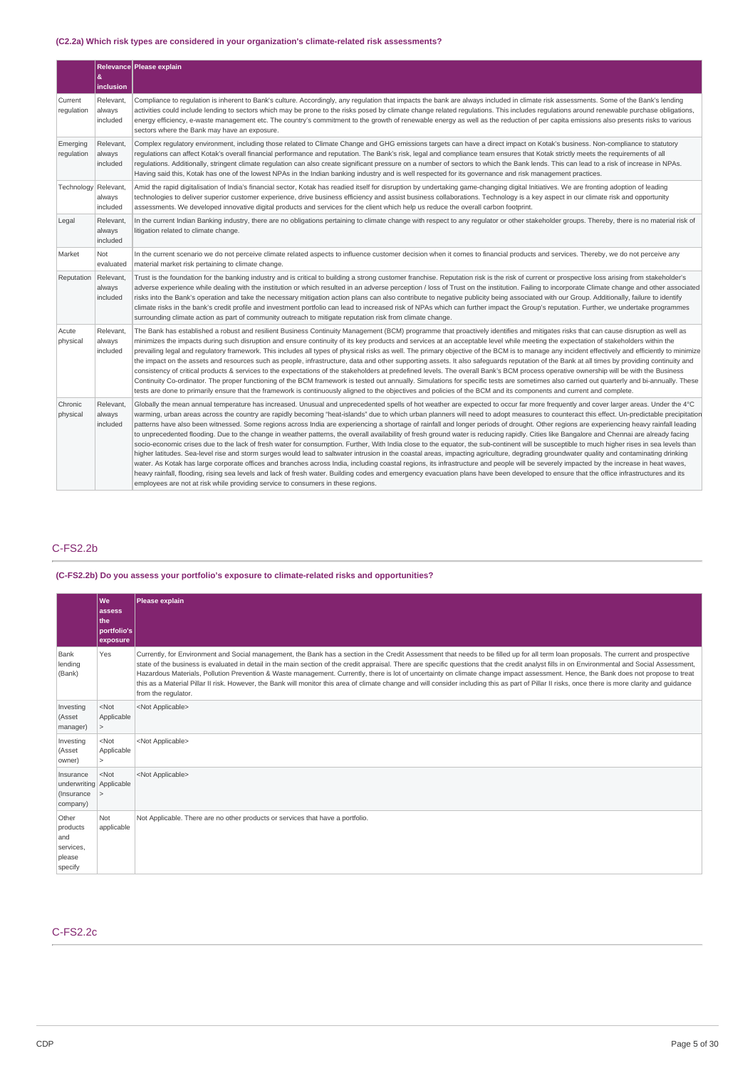## **(C2.2a) Which risk types are considered in your organization's climate-related risk assessments?**

|                        | &<br>inclusion                  | Relevance Please explain                                                                                                                                                                                                                                                                                                                                                                                                                                                                                                                                                                                                                                                                                                                                                                                                                                                                                                                                                                                                                                                                                                                                                                                                                                                                                                                                                                                                                                                                                                                                                                                                                                |
|------------------------|---------------------------------|---------------------------------------------------------------------------------------------------------------------------------------------------------------------------------------------------------------------------------------------------------------------------------------------------------------------------------------------------------------------------------------------------------------------------------------------------------------------------------------------------------------------------------------------------------------------------------------------------------------------------------------------------------------------------------------------------------------------------------------------------------------------------------------------------------------------------------------------------------------------------------------------------------------------------------------------------------------------------------------------------------------------------------------------------------------------------------------------------------------------------------------------------------------------------------------------------------------------------------------------------------------------------------------------------------------------------------------------------------------------------------------------------------------------------------------------------------------------------------------------------------------------------------------------------------------------------------------------------------------------------------------------------------|
| Current<br>regulation  | Relevant,<br>always<br>included | Compliance to regulation is inherent to Bank's culture. Accordingly, any regulation that impacts the bank are always included in climate risk assessments. Some of the Bank's lending<br>activities could include lending to sectors which may be prone to the risks posed by climate change related regulations. This includes regulations around renewable purchase obligations,<br>energy efficiency, e-waste management etc. The country's commitment to the growth of renewable energy as well as the reduction of per capita emissions also presents risks to various<br>sectors where the Bank may have an exposure.                                                                                                                                                                                                                                                                                                                                                                                                                                                                                                                                                                                                                                                                                                                                                                                                                                                                                                                                                                                                                             |
| Emerging<br>regulation | Relevant,<br>always<br>included | Complex requlatory environment, including those related to Climate Change and GHG emissions targets can have a direct impact on Kotak's business. Non-compliance to statutory<br>regulations can affect Kotak's overall financial performance and reputation. The Bank's risk, legal and compliance team ensures that Kotak strictly meets the requirements of all<br>requlations. Additionally, stringent climate requlation can also create significant pressure on a number of sectors to which the Bank lends. This can lead to a risk of increase in NPAs.<br>Having said this, Kotak has one of the lowest NPAs in the Indian banking industry and is well respected for its governance and risk management practices.                                                                                                                                                                                                                                                                                                                                                                                                                                                                                                                                                                                                                                                                                                                                                                                                                                                                                                                            |
| Technology             | Relevant,<br>always<br>included | Amid the rapid digitalisation of India's financial sector, Kotak has readied itself for disruption by undertaking game-changing digital Initiatives. We are fronting adoption of leading<br>technologies to deliver superior customer experience, drive business efficiency and assist business collaborations. Technology is a key aspect in our climate risk and opportunity<br>assessments. We developed innovative digital products and services for the client which help us reduce the overall carbon footprint.                                                                                                                                                                                                                                                                                                                                                                                                                                                                                                                                                                                                                                                                                                                                                                                                                                                                                                                                                                                                                                                                                                                                  |
| Legal                  | Relevant,<br>always<br>included | In the current Indian Banking industry, there are no obligations pertaining to climate change with respect to any regulator or other stakeholder groups. Thereby, there is no material risk of<br>litigation related to climate change.                                                                                                                                                                                                                                                                                                                                                                                                                                                                                                                                                                                                                                                                                                                                                                                                                                                                                                                                                                                                                                                                                                                                                                                                                                                                                                                                                                                                                 |
| Market                 | Not<br>evaluated                | In the current scenario we do not perceive climate related aspects to influence customer decision when it comes to financial products and services. Thereby, we do not perceive any<br>material market risk pertaining to climate change.                                                                                                                                                                                                                                                                                                                                                                                                                                                                                                                                                                                                                                                                                                                                                                                                                                                                                                                                                                                                                                                                                                                                                                                                                                                                                                                                                                                                               |
| Reputation             | Relevant,<br>always<br>included | Trust is the foundation for the banking industry and is critical to building a strong customer franchise. Reputation risk is the risk of current or prospective loss arising from stakeholder's<br>adverse experience while dealing with the institution or which resulted in an adverse perception / loss of Trust on the institution. Failing to incorporate Climate change and other associated<br>risks into the Bank's operation and take the necessary mitigation action plans can also contribute to negative publicity being associated with our Group. Additionally, failure to identify<br>climate risks in the bank's credit profile and investment portfolio can lead to increased risk of NPAs which can further impact the Group's reputation. Further, we undertake programmes<br>surrounding climate action as part of community outreach to mitigate reputation risk from climate change.                                                                                                                                                                                                                                                                                                                                                                                                                                                                                                                                                                                                                                                                                                                                              |
| Acute<br>physical      | Relevant,<br>always<br>included | The Bank has established a robust and resilient Business Continuity Management (BCM) programme that proactively identifies and mitigates risks that can cause disruption as well as<br>minimizes the impacts during such disruption and ensure continuity of its key products and services at an acceptable level while meeting the expectation of stakeholders within the<br>prevailing legal and regulatory framework. This includes all types of physical risks as well. The primary objective of the BCM is to manage any incident effectively and efficiently to minimize<br>the impact on the assets and resources such as people, infrastructure, data and other supporting assets. It also safeguards reputation of the Bank at all times by providing continuity and<br>consistency of critical products & services to the expectations of the stakeholders at predefined levels. The overall Bank's BCM process operative ownership will be with the Business<br>Continuity Co-ordinator. The proper functioning of the BCM framework is tested out annually. Simulations for specific tests are sometimes also carried out quarterly and bi-annually. These<br>tests are done to primarily ensure that the framework is continuously aligned to the objectives and policies of the BCM and its components and current and complete.                                                                                                                                                                                                                                                                                                          |
| Chronic<br>physical    | Relevant.<br>always<br>included | Globally the mean annual temperature has increased. Unusual and unprecedented spells of hot weather are expected to occur far more frequently and cover larger areas. Under the 4°C<br>warming, urban areas across the country are rapidly becoming "heat-islands" due to which urban planners will need to adopt measures to counteract this effect. Un-predictable precipitation<br>patterns have also been witnessed. Some regions across India are experiencing a shortage of rainfall and longer periods of drought. Other regions are experiencing heavy rainfall leading<br>to unprecedented flooding. Due to the change in weather patterns, the overall availability of fresh ground water is reducing rapidly. Cities like Bangalore and Chennai are already facing<br>socio-economic crises due to the lack of fresh water for consumption. Further, With India close to the equator, the sub-continent will be susceptible to much higher rises in sea levels than<br>higher latitudes. Sea-level rise and storm surges would lead to saltwater intrusion in the coastal areas, impacting agriculture, degrading groundwater quality and contaminating drinking<br>water. As Kotak has large corporate offices and branches across India, including coastal regions, its infrastructure and people will be severely impacted by the increase in heat waves,<br>heavy rainfall, flooding, rising sea levels and lack of fresh water. Building codes and emergency evacuation plans have been developed to ensure that the office infrastructures and its<br>employees are not at risk while providing service to consumers in these regions. |

## C-FS2.2b

## **(C-FS2.2b) Do you assess your portfolio's exposure to climate-related risks and opportunities?**

|                                                                  | We<br>assess<br>the<br>portfolio's<br>exposure | Please explain                                                                                                                                                                                                                                                                                                                                                                                                                                                                                                                                                                                                                                                                                                                                                                                               |
|------------------------------------------------------------------|------------------------------------------------|--------------------------------------------------------------------------------------------------------------------------------------------------------------------------------------------------------------------------------------------------------------------------------------------------------------------------------------------------------------------------------------------------------------------------------------------------------------------------------------------------------------------------------------------------------------------------------------------------------------------------------------------------------------------------------------------------------------------------------------------------------------------------------------------------------------|
| Bank<br>lending<br>(Bank)                                        | Yes                                            | Currently, for Environment and Social management, the Bank has a section in the Credit Assessment that needs to be filled up for all term loan proposals. The current and prospective<br>state of the business is evaluated in detail in the main section of the credit appraisal. There are specific questions that the credit analyst fills in on Environmental and Social Assessment,<br>Hazardous Materials, Pollution Prevention & Waste management. Currently, there is lot of uncertainty on climate change impact assessment. Hence, the Bank does not propose to treat<br>this as a Material Pillar II risk. However, the Bank will monitor this area of climate change and will consider including this as part of Pillar II risks, once there is more clarity and quidance<br>from the regulator. |
| Investing<br>(Asset<br>manager)                                  | $<$ Not<br>Applicable<br>$\mathbf{r}$          | <not applicable=""></not>                                                                                                                                                                                                                                                                                                                                                                                                                                                                                                                                                                                                                                                                                                                                                                                    |
| Investing<br>(Asset<br>owner)                                    | $<$ Not<br>Applicable<br>$\geq$                | <not applicable=""></not>                                                                                                                                                                                                                                                                                                                                                                                                                                                                                                                                                                                                                                                                                                                                                                                    |
| Insurance<br>underwriting   Applicable<br>(Insurance<br>company) | $<$ Not<br>$\geq$                              | <not applicable=""></not>                                                                                                                                                                                                                                                                                                                                                                                                                                                                                                                                                                                                                                                                                                                                                                                    |
| Other<br>products<br>and<br>services,<br>please<br>specify       | Not<br>applicable                              | Not Applicable. There are no other products or services that have a portfolio.                                                                                                                                                                                                                                                                                                                                                                                                                                                                                                                                                                                                                                                                                                                               |

## C-FS2.2c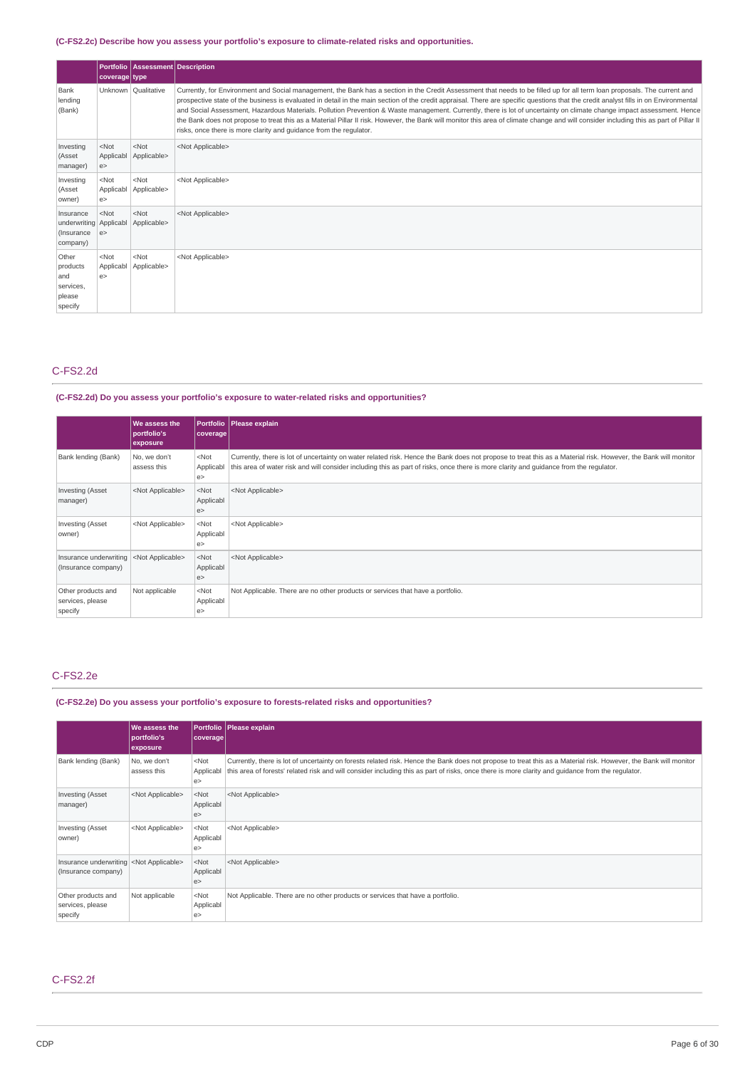## **(C-FS2.2c) Describe how you assess your portfolio's exposure to climate-related risks and opportunities.**

|                                                                 | coverage type             | Portfolio   Assessment   Description |                                                                                                                                                                                                                                                                                                                                                                                                                                                                                                                                                                                                                                                                                                                                                                                                             |
|-----------------------------------------------------------------|---------------------------|--------------------------------------|-------------------------------------------------------------------------------------------------------------------------------------------------------------------------------------------------------------------------------------------------------------------------------------------------------------------------------------------------------------------------------------------------------------------------------------------------------------------------------------------------------------------------------------------------------------------------------------------------------------------------------------------------------------------------------------------------------------------------------------------------------------------------------------------------------------|
| Bank<br>lending<br>(Bank)                                       |                           | Unknown Qualitative                  | Currently, for Environment and Social management, the Bank has a section in the Credit Assessment that needs to be filled up for all term loan proposals. The current and<br>prospective state of the business is evaluated in detail in the main section of the credit appraisal. There are specific questions that the credit analyst fills in on Environmental<br>and Social Assessment, Hazardous Materials. Pollution Prevention & Waste management. Currently, there is lot of uncertainty on climate change impact assessment. Hence<br>the Bank does not propose to treat this as a Material Pillar II risk. However, the Bank will monitor this area of climate change and will consider including this as part of Pillar II<br>risks, once there is more clarity and quidance from the regulator. |
| Investing<br>(Asset<br>manager)                                 | $<$ Not<br>Applicabl<br>e | $<$ Not<br>Applicable>               | <not applicable=""></not>                                                                                                                                                                                                                                                                                                                                                                                                                                                                                                                                                                                                                                                                                                                                                                                   |
| Investing<br>(Asset<br>owner)                                   | $<$ Not<br>e              | $<$ Not<br>Applicabl Applicable>     | <not applicable=""></not>                                                                                                                                                                                                                                                                                                                                                                                                                                                                                                                                                                                                                                                                                                                                                                                   |
| Insurance<br>underwriting   Applicabl<br>(Insurance<br>company) | $<$ Not<br>e              | $<$ Not<br>Applicable>               | <not applicable=""></not>                                                                                                                                                                                                                                                                                                                                                                                                                                                                                                                                                                                                                                                                                                                                                                                   |
| Other<br>products<br>and<br>services,<br>please<br>specify      | $<$ Not<br>e              | $<$ Not<br>Applicabl Applicable>     | <not applicable=""></not>                                                                                                                                                                                                                                                                                                                                                                                                                                                                                                                                                                                                                                                                                                                                                                                   |

## C-FS2.2d

## **(C-FS2.2d) Do you assess your portfolio's exposure to water-related risks and opportunities?**

|                                                   | We assess the<br>portfolio's<br>exposure | <b>Portfolio</b><br>coverage     | Please explain                                                                                                                                                                                                                                                                                           |
|---------------------------------------------------|------------------------------------------|----------------------------------|----------------------------------------------------------------------------------------------------------------------------------------------------------------------------------------------------------------------------------------------------------------------------------------------------------|
| Bank lending (Bank)                               | No, we don't<br>assess this              | $<$ Not<br>Applicabl<br>e        | Currently, there is lot of uncertainty on water related risk. Hence the Bank does not propose to treat this as a Material risk. However, the Bank will monitor<br>this area of water risk and will consider including this as part of risks, once there is more clarity and quidance from the regulator. |
| <b>Investing (Asset</b><br>manager)               | <not applicable=""></not>                | $<$ Not<br>Applicabl<br>e        | <not applicable=""></not>                                                                                                                                                                                                                                                                                |
| Investing (Asset<br>owner)                        | <not applicable=""></not>                | <not<br>Applicabl<br/>e</not<br> | <not applicable=""></not>                                                                                                                                                                                                                                                                                |
| Insurance underwriting<br>(Insurance company)     | <not applicable=""></not>                | $<$ Not<br>Applicabl<br>e        | <not applicable=""></not>                                                                                                                                                                                                                                                                                |
| Other products and<br>services, please<br>specify | Not applicable                           | $<$ Not<br>Applicabl<br>le>      | Not Applicable. There are no other products or services that have a portfolio.                                                                                                                                                                                                                           |

## C-FS2.2e

## **(C-FS2.2e) Do you assess your portfolio's exposure to forests-related risks and opportunities?**

|                                                                          | We assess the<br>portfolio's<br>exposure | coverage                    | Portfolio Please explain                                                                                                                                                                                                                                                                                                        |
|--------------------------------------------------------------------------|------------------------------------------|-----------------------------|---------------------------------------------------------------------------------------------------------------------------------------------------------------------------------------------------------------------------------------------------------------------------------------------------------------------------------|
| Bank lending (Bank)                                                      | No, we don't<br>assess this              | $<$ Not<br>e>               | Currently, there is lot of uncertainty on forests related risk. Hence the Bank does not propose to treat this as a Material risk. However, the Bank will monitor<br>Applicabl this area of forests' related risk and will consider including this as part of risks, once there is more clarity and quidance from the regulator. |
| <b>Investing (Asset</b><br>manager)                                      | <not applicable=""></not>                | $<$ Not<br>Applicabl<br>e > | <not applicable=""></not>                                                                                                                                                                                                                                                                                                       |
| Investing (Asset<br>owner)                                               | <not applicable=""></not>                | $<$ Not<br>Applicabl<br>e   | <not applicable=""></not>                                                                                                                                                                                                                                                                                                       |
| Insurance underwriting <not applicable=""><br/>(Insurance company)</not> |                                          | $<$ Not<br>Applicabl<br>e > | <not applicable=""></not>                                                                                                                                                                                                                                                                                                       |
| Other products and<br>services, please<br>specify                        | Not applicable                           | $<$ Not<br>Applicabl<br>e   | Not Applicable. There are no other products or services that have a portfolio.                                                                                                                                                                                                                                                  |

## C-FS2.2f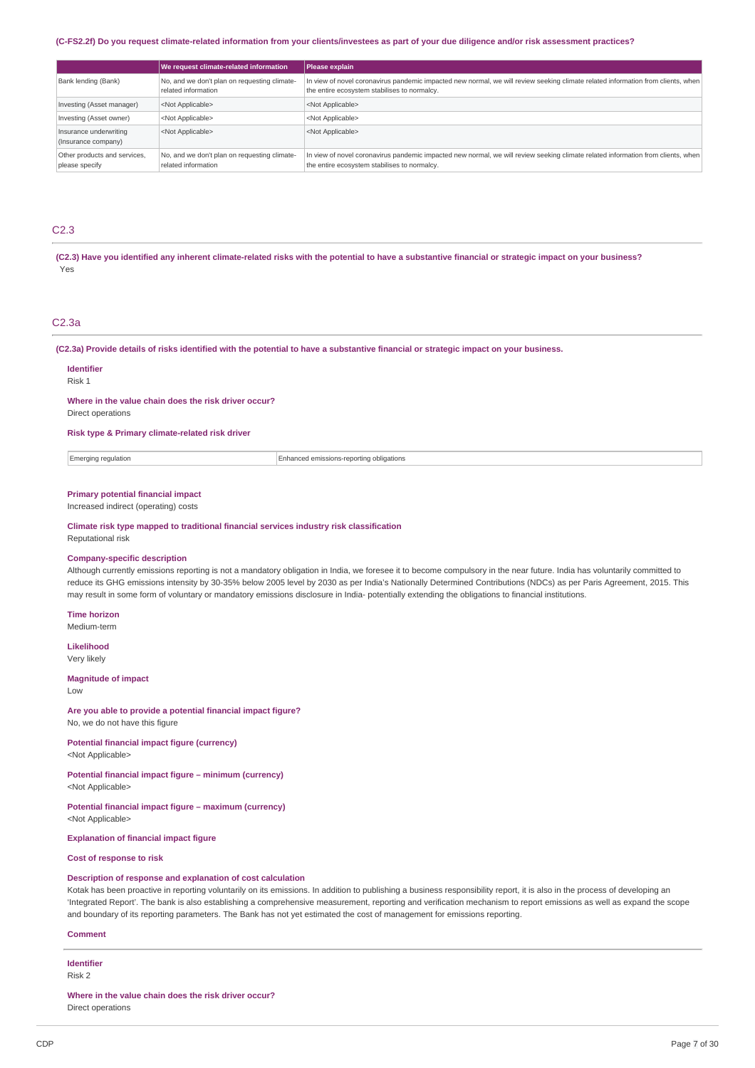#### (C-FS2.2f) Do you request climate-related information from your clients/investees as part of your due diligence and/or risk assessment practices?

|                                                | We request climate-related information                              | Please explain                                                                                                                                                                   |
|------------------------------------------------|---------------------------------------------------------------------|----------------------------------------------------------------------------------------------------------------------------------------------------------------------------------|
| Bank lending (Bank)                            | No, and we don't plan on requesting climate-<br>related information | In view of novel coronavirus pandemic impacted new normal, we will review seeking climate related information from clients, when<br>the entire ecosystem stabilises to normalcy. |
| Investing (Asset manager)                      | <not applicable=""></not>                                           | <not applicable=""></not>                                                                                                                                                        |
| Investing (Asset owner)                        | <not applicable=""></not>                                           | <not applicable=""></not>                                                                                                                                                        |
| Insurance underwriting<br>(Insurance company)  | <not applicable=""></not>                                           | <not applicable=""></not>                                                                                                                                                        |
| Other products and services,<br>please specify | No, and we don't plan on requesting climate-<br>related information | In view of novel coronavirus pandemic impacted new normal, we will review seeking climate related information from clients, when<br>the entire ecosystem stabilises to normalcy. |

### C2.3

(C2.3) Have you identified any inherent climate-related risks with the potential to have a substantive financial or strategic impact on your business? Yes

### C2.3a

#### (C2.3a) Provide details of risks identified with the potential to have a substantive financial or strategic impact on your business.

**Identifier** Risk 1

**Where in the value chain does the risk driver occur?**

Direct operations

#### **Risk type & Primary climate-related risk driver**

Emerging regulation **Enhanced emissions-reporting obligations** 

## **Primary potential financial impact**

Increased indirect (operating) costs

**Climate risk type mapped to traditional financial services industry risk classification** Reputational risk

#### **Company-specific description**

Although currently emissions reporting is not a mandatory obligation in India, we foresee it to become compulsory in the near future. India has voluntarily committed to reduce its GHG emissions intensity by 30-35% below 2005 level by 2030 as per India's Nationally Determined Contributions (NDCs) as per Paris Agreement, 2015. This may result in some form of voluntary or mandatory emissions disclosure in India- potentially extending the obligations to financial institutions.

**Time horizon**

Medium-term

**Likelihood** Very likely

#### **Magnitude of impact**

Low

**Are you able to provide a potential financial impact figure?**

No, we do not have this figure

**Potential financial impact figure (currency)** <Not Applicable>

**Potential financial impact figure – minimum (currency)** <Not Applicable>

**Potential financial impact figure – maximum (currency)** <Not Applicable>

**Explanation of financial impact figure**

## **Cost of response to risk**

## **Description of response and explanation of cost calculation**

Kotak has been proactive in reporting voluntarily on its emissions. In addition to publishing a business responsibility report, it is also in the process of developing an 'Integrated Report'. The bank is also establishing a comprehensive measurement, reporting and verification mechanism to report emissions as well as expand the scope and boundary of its reporting parameters. The Bank has not yet estimated the cost of management for emissions reporting.

#### **Comment**

**Identifier** Risk 2

**Where in the value chain does the risk driver occur?**

Direct operations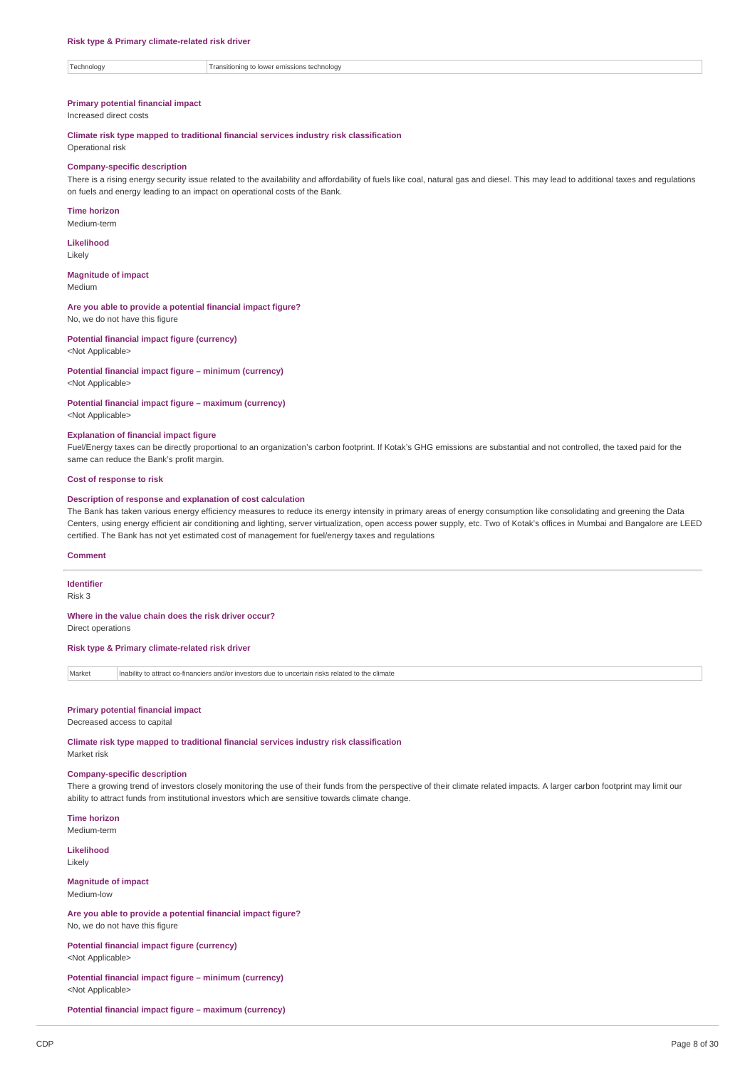Technology Transitioning to lower emissions technology

#### **Primary potential financial impact**

Increased direct costs

**Climate risk type mapped to traditional financial services industry risk classification**

Operational risk

#### **Company-specific description**

There is a rising energy security issue related to the availability and affordability of fuels like coal, natural gas and diesel. This may lead to additional taxes and regulations on fuels and energy leading to an impact on operational costs of the Bank.

**Time horizon** Medium-term

**Likelihood**

Likely

**Magnitude of impact**

Medium

**Are you able to provide a potential financial impact figure?** No, we do not have this figure

**Potential financial impact figure (currency)** <Not Applicable>

#### **Potential financial impact figure – minimum (currency)** <Not Applicable>

**Potential financial impact figure – maximum (currency)** <Not Applicable>

**Explanation of financial impact figure**

Fuel/Energy taxes can be directly proportional to an organization's carbon footprint. If Kotak's GHG emissions are substantial and not controlled, the taxed paid for the same can reduce the Bank's profit margin.

#### **Cost of response to risk**

#### **Description of response and explanation of cost calculation**

The Bank has taken various energy efficiency measures to reduce its energy intensity in primary areas of energy consumption like consolidating and greening the Data Centers, using energy efficient air conditioning and lighting, server virtualization, open access power supply, etc. Two of Kotak's offices in Mumbai and Bangalore are LEED certified. The Bank has not yet estimated cost of management for fuel/energy taxes and regulations

#### **Comment**

**Identifier**

Risk 3

### **Where in the value chain does the risk driver occur?**

Direct operations

### **Risk type & Primary climate-related risk driver**

Market Inability to attract co-financiers and/or investors due to uncertain risks related to the climate

#### **Primary potential financial impact**

#### Decreased access to capital

**Climate risk type mapped to traditional financial services industry risk classification** Market risk

## **Company-specific description**

There a growing trend of investors closely monitoring the use of their funds from the perspective of their climate related impacts. A larger carbon footprint may limit our ability to attract funds from institutional investors which are sensitive towards climate change.

**Time horizon** Medium-term

**Likelihood** Likely

#### **Magnitude of impact**

Medium-low

**Are you able to provide a potential financial impact figure?** No, we do not have this figure

**Potential financial impact figure (currency)** <Not Applicable>

**Potential financial impact figure – minimum (currency)** <Not Applicable>

**Potential financial impact figure – maximum (currency)**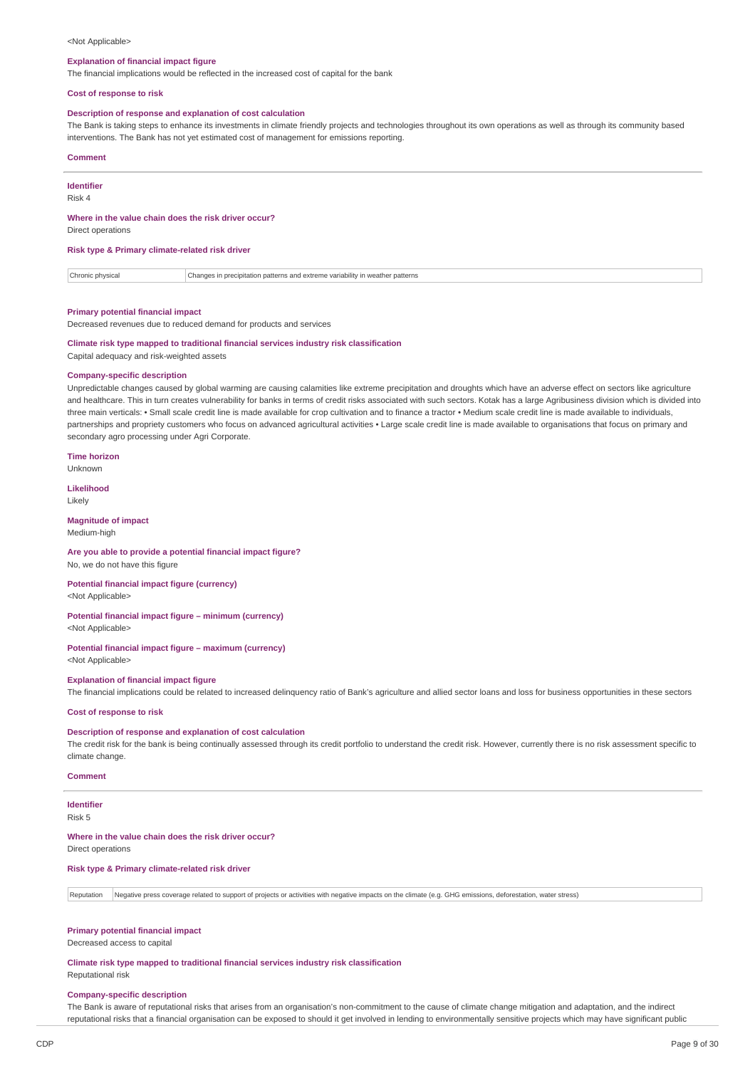#### <Not Applicable>

#### **Explanation of financial impact figure**

The financial implications would be reflected in the increased cost of capital for the bank

#### **Cost of response to risk**

#### **Description of response and explanation of cost calculation**

The Bank is taking steps to enhance its investments in climate friendly projects and technologies throughout its own operations as well as through its community based interventions. The Bank has not yet estimated cost of management for emissions reporting.

#### **Comment**

| <b>Identifier</b>                                    |  |
|------------------------------------------------------|--|
| Risk 4                                               |  |
|                                                      |  |
| Where in the value chain does the risk driver occur? |  |

Direct operations

#### **Risk type & Primary climate-related risk driver**

| :hronic r<br>™WSIL. | r natterns<br>hon.<br>n precipitation patterns and extreme<br>, varianility<br>-211 |
|---------------------|-------------------------------------------------------------------------------------|
|                     |                                                                                     |

#### **Primary potential financial impact**

Decreased revenues due to reduced demand for products and services

## **Climate risk type mapped to traditional financial services industry risk classification**

Capital adequacy and risk-weighted assets

#### **Company-specific description**

Unpredictable changes caused by global warming are causing calamities like extreme precipitation and droughts which have an adverse effect on sectors like agriculture and healthcare. This in turn creates vulnerability for banks in terms of credit risks associated with such sectors. Kotak has a large Agribusiness division which is divided into three main verticals: • Small scale credit line is made available for crop cultivation and to finance a tractor • Medium scale credit line is made available to individuals, partnerships and propriety customers who focus on advanced agricultural activities • Large scale credit line is made available to organisations that focus on primary and secondary agro processing under Agri Corporate.

#### **Time horizon**

Unknown

**Likelihood** Likely

## **Magnitude of impact**

Medium-high

#### **Are you able to provide a potential financial impact figure?** No, we do not have this figure

**Potential financial impact figure (currency)** <Not Applicable>

#### **Potential financial impact figure – minimum (currency)**

<Not Applicable>

## **Potential financial impact figure – maximum (currency)**

<Not Applicable>

#### **Explanation of financial impact figure**

The financial implications could be related to increased delinquency ratio of Bank's agriculture and allied sector loans and loss for business opportunities in these sectors

### **Cost of response to risk**

#### **Description of response and explanation of cost calculation**

The credit risk for the bank is being continually assessed through its credit portfolio to understand the credit risk. However, currently there is no risk assessment specific to climate change.

#### **Comment**

#### **Identifier** Risk 5

#### **Where in the value chain does the risk driver occur?**

Direct operations

#### **Risk type & Primary climate-related risk driver**

Reputation Negative press coverage related to support of projects or activities with negative impacts on the climate (e.g. GHG emissions, deforestation, water stress)

#### **Primary potential financial impact**

Decreased access to capital

**Climate risk type mapped to traditional financial services industry risk classification** Reputational risk

#### **Company-specific description**

The Bank is aware of reputational risks that arises from an organisation's non-commitment to the cause of climate change mitigation and adaptation, and the indirect reputational risks that a financial organisation can be exposed to should it get involved in lending to environmentally sensitive projects which may have significant public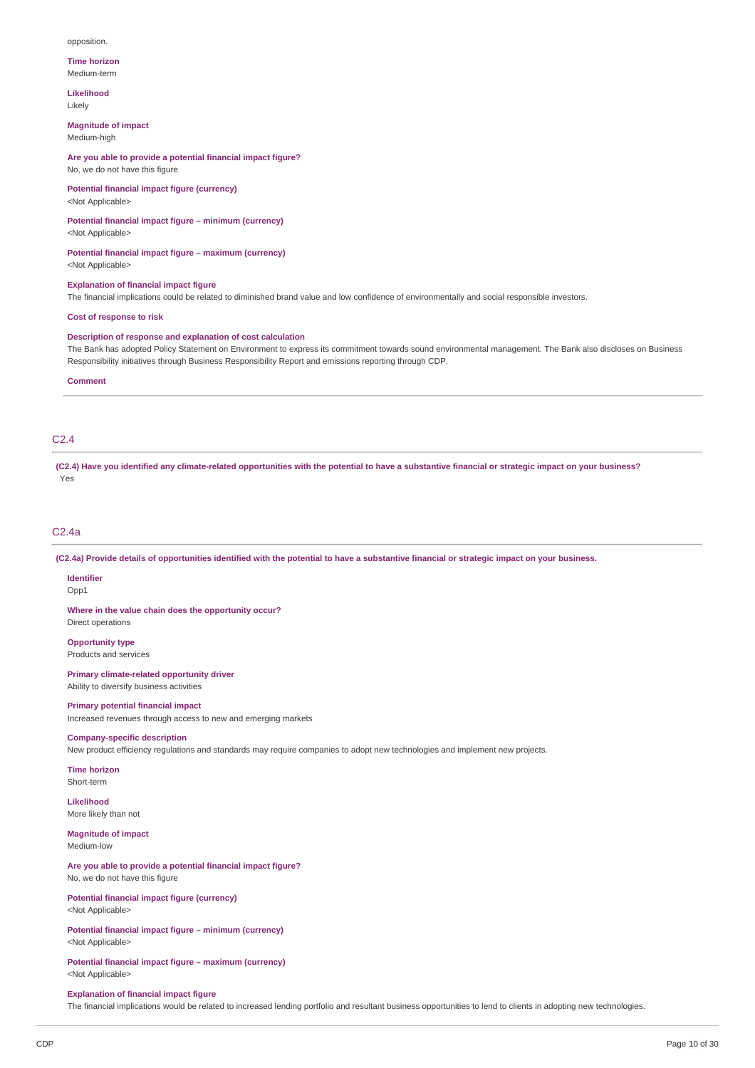#### opposition.

#### **Time horizon** Medium-term

**Likelihood**

Likely

### **Magnitude of impact**

Medium-high

**Are you able to provide a potential financial impact figure?** No, we do not have this figure

**Potential financial impact figure (currency)** <Not Applicable>

**Potential financial impact figure – minimum (currency)** <Not Applicable>

**Potential financial impact figure – maximum (currency)** <Not Applicable>

**Explanation of financial impact figure**

The financial implications could be related to diminished brand value and low confidence of environmentally and social responsible investors.

**Cost of response to risk**

#### **Description of response and explanation of cost calculation**

The Bank has adopted Policy Statement on Environment to express its commitment towards sound environmental management. The Bank also discloses on Business Responsibility initiatives through Business Responsibility Report and emissions reporting through CDP.

#### **Comment**

## C2.4

(C2.4) Have you identified any climate-related opportunities with the potential to have a substantive financial or strategic impact on your business? Yes

#### C2.4a

(C2.4a) Provide details of opportunities identified with the potential to have a substantive financial or strategic impact on your business.

**Identifier** Opp1

**Where in the value chain does the opportunity occur?**

Direct operations

**Opportunity type** Products and services

**Primary climate-related opportunity driver** Ability to diversify business activities

#### **Primary potential financial impact**

Increased revenues through access to new and emerging markets

#### **Company-specific description**

New product efficiency regulations and standards may require companies to adopt new technologies and implement new projects.

**Time horizon** Short-term

**Likelihood** More likely than not

**Magnitude of impact** Medium-low

### **Are you able to provide a potential financial impact figure?** No, we do not have this figure

**Potential financial impact figure (currency)** <Not Applicable>

**Potential financial impact figure – minimum (currency)** <Not Applicable>

**Potential financial impact figure – maximum (currency)** <Not Applicable>

#### **Explanation of financial impact figure**

The financial implications would be related to increased lending portfolio and resultant business opportunities to lend to clients in adopting new technologies.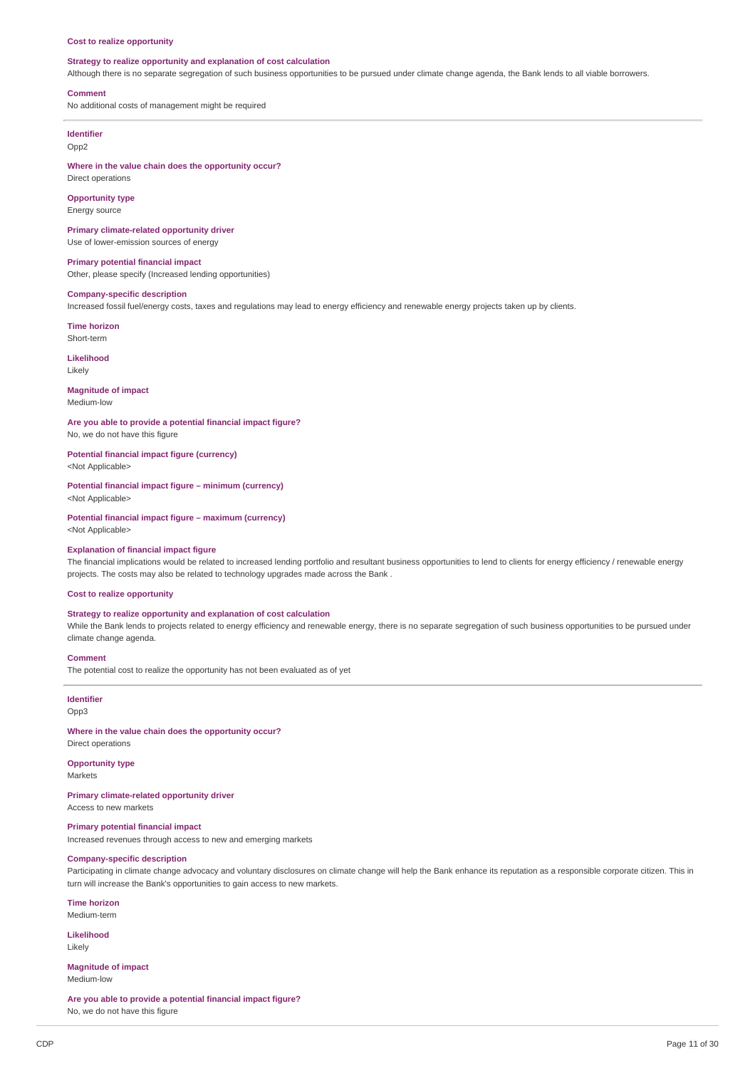#### **Cost to realize opportunity**

### **Strategy to realize opportunity and explanation of cost calculation**

Although there is no separate segregation of such business opportunities to be pursued under climate change agenda, the Bank lends to all viable borrowers.

#### **Comment**

No additional costs of management might be required

## **Identifier**

Opp2

**Where in the value chain does the opportunity occur?** Direct operations

**Opportunity type** Energy source

**Primary climate-related opportunity driver** Use of lower-emission sources of energy

**Primary potential financial impact** Other, please specify (Increased lending opportunities)

#### **Company-specific description**

Increased fossil fuel/energy costs, taxes and regulations may lead to energy efficiency and renewable energy projects taken up by clients.

**Time horizon** Short-term

**Likelihood** Likely

#### **Magnitude of impact**

Medium-low

**Are you able to provide a potential financial impact figure?** No, we do not have this figure

**Potential financial impact figure (currency)** <Not Applicable>

**Potential financial impact figure – minimum (currency)** <Not Applicable>

**Potential financial impact figure – maximum (currency)** <Not Applicable>

#### **Explanation of financial impact figure**

The financial implications would be related to increased lending portfolio and resultant business opportunities to lend to clients for energy efficiency / renewable energy projects. The costs may also be related to technology upgrades made across the Bank .

#### **Cost to realize opportunity**

#### **Strategy to realize opportunity and explanation of cost calculation**

While the Bank lends to projects related to energy efficiency and renewable energy, there is no separate segregation of such business opportunities to be pursued under climate change agenda.

#### **Comment**

The potential cost to realize the opportunity has not been evaluated as of yet

**Identifier** Opp3

#### **Where in the value chain does the opportunity occur?**

Direct operations

**Opportunity type** Markets

## **Primary climate-related opportunity driver**

Access to new markets

### **Primary potential financial impact**

Increased revenues through access to new and emerging markets

### **Company-specific description**

Participating in climate change advocacy and voluntary disclosures on climate change will help the Bank enhance its reputation as a responsible corporate citizen. This in turn will increase the Bank's opportunities to gain access to new markets.

**Time horizon**

Medium-term

**Likelihood** Likely

**Magnitude of impact** Medium-low

**Are you able to provide a potential financial impact figure?** No, we do not have this figure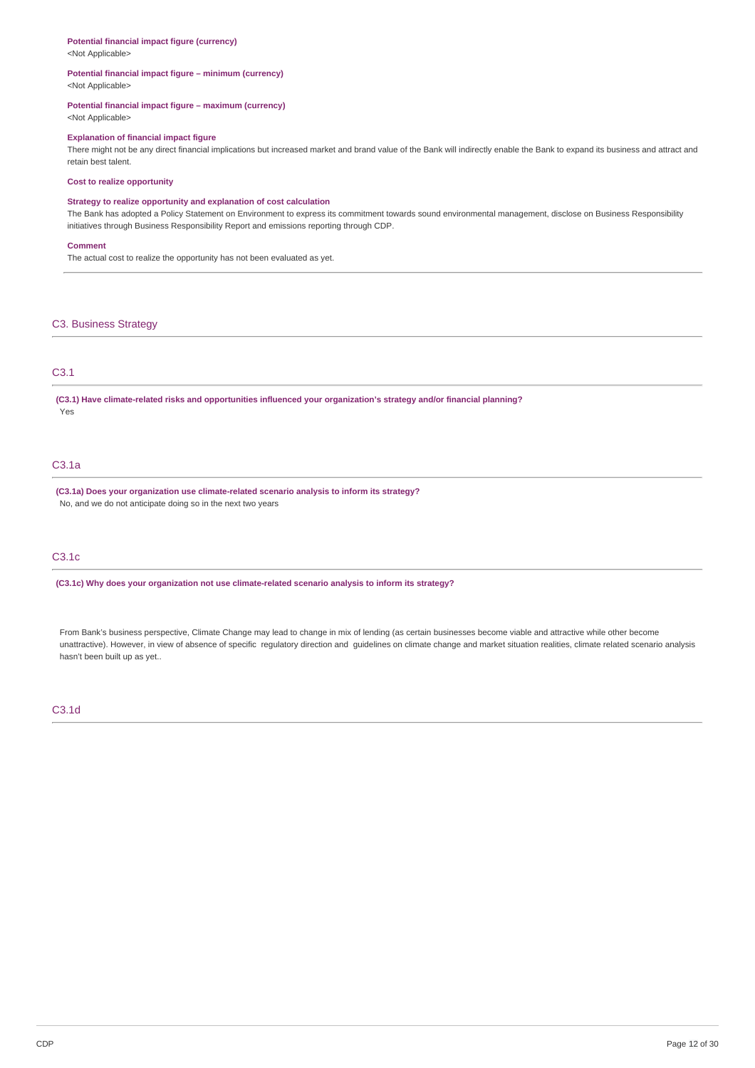#### **Potential financial impact figure (currency)**

<Not Applicable>

#### **Potential financial impact figure – minimum (currency)** <Not Applicable>

### **Potential financial impact figure – maximum (currency)**

<Not Applicable>

#### **Explanation of financial impact figure**

There might not be any direct financial implications but increased market and brand value of the Bank will indirectly enable the Bank to expand its business and attract and retain best talent.

#### **Cost to realize opportunity**

#### **Strategy to realize opportunity and explanation of cost calculation**

The Bank has adopted a Policy Statement on Environment to express its commitment towards sound environmental management, disclose on Business Responsibility initiatives through Business Responsibility Report and emissions reporting through CDP.

#### **Comment**

The actual cost to realize the opportunity has not been evaluated as yet.

### C3. Business Strategy

## C3.1

**(C3.1) Have climate-related risks and opportunities influenced your organization's strategy and/or financial planning?** Yes

## C3.1a

**(C3.1a) Does your organization use climate-related scenario analysis to inform its strategy?** No, and we do not anticipate doing so in the next two years

## C3.1c

**(C3.1c) Why does your organization not use climate-related scenario analysis to inform its strategy?**

From Bank's business perspective, Climate Change may lead to change in mix of lending (as certain businesses become viable and attractive while other become unattractive). However, in view of absence of specific regulatory direction and guidelines on climate change and market situation realities, climate related scenario analysis hasn't been built up as yet..

### C3.1d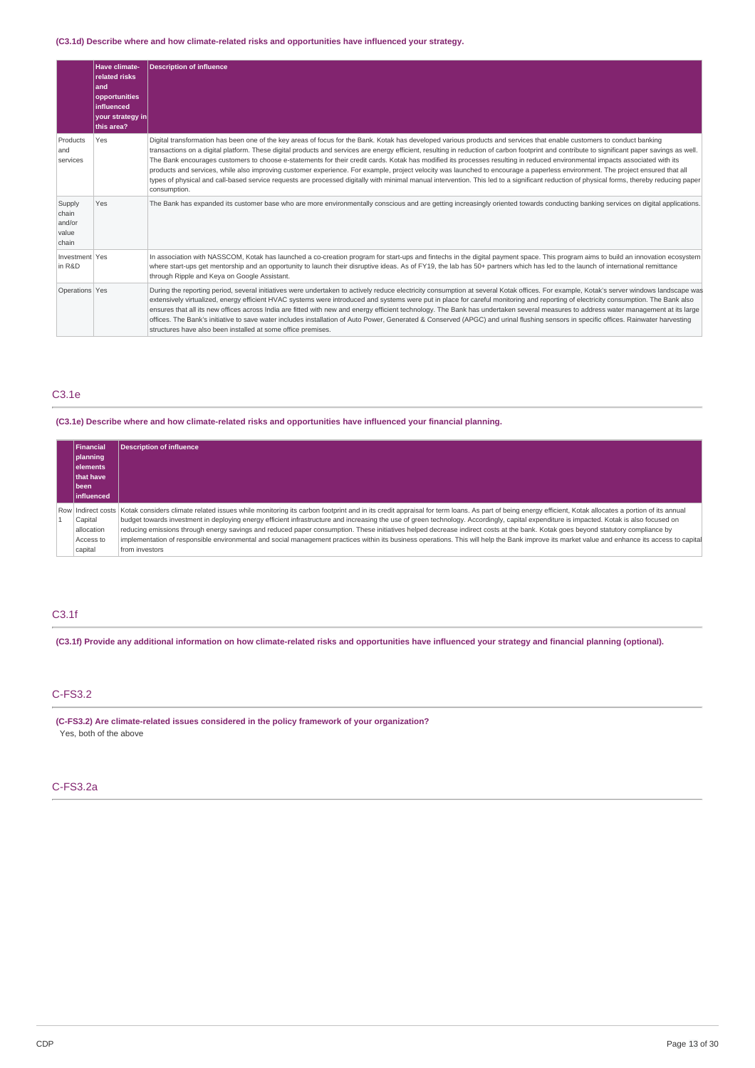### **(C3.1d) Describe where and how climate-related risks and opportunities have influenced your strategy.**

|                                             | Have climate-<br>related risks<br>and<br>opportunities<br>influenced<br>your strategy in<br>this area? | <b>Description of influence</b>                                                                                                                                                                                                                                                                                                                                                                                                                                                                                                                                                                                                                                                                                                                                                                                                                                                                                                                        |
|---------------------------------------------|--------------------------------------------------------------------------------------------------------|--------------------------------------------------------------------------------------------------------------------------------------------------------------------------------------------------------------------------------------------------------------------------------------------------------------------------------------------------------------------------------------------------------------------------------------------------------------------------------------------------------------------------------------------------------------------------------------------------------------------------------------------------------------------------------------------------------------------------------------------------------------------------------------------------------------------------------------------------------------------------------------------------------------------------------------------------------|
| Products<br>and<br>services                 | Yes                                                                                                    | Digital transformation has been one of the key areas of focus for the Bank. Kotak has developed various products and services that enable customers to conduct banking<br>transactions on a digital platform. These digital products and services are energy efficient, resulting in reduction of carbon footprint and contribute to significant paper sayings as well.<br>The Bank encourages customers to choose e-statements for their credit cards. Kotak has modified its processes resulting in reduced environmental impacts associated with its<br>products and services, while also improving customer experience. For example, project velocity was launched to encourage a paperless environment. The project ensured that all<br>types of physical and call-based service requests are processed digitally with minimal manual intervention. This led to a significant reduction of physical forms, thereby reducing paper<br>consumption. |
| Supply<br>chain<br>and/or<br>value<br>chain | Yes                                                                                                    | The Bank has expanded its customer base who are more environmentally conscious and are getting increasingly oriented towards conducting banking services on digital applications.                                                                                                                                                                                                                                                                                                                                                                                                                                                                                                                                                                                                                                                                                                                                                                      |
| Investment Yes<br>in R&D                    |                                                                                                        | In association with NASSCOM, Kotak has launched a co-creation program for start-ups and fintechs in the digital payment space. This program aims to build an innovation ecosystem<br>where start-ups get mentorship and an opportunity to launch their disruptive ideas. As of FY19, the lab has 50+ partners which has led to the launch of international remittance<br>through Ripple and Keya on Google Assistant.                                                                                                                                                                                                                                                                                                                                                                                                                                                                                                                                  |
| Operations Yes                              |                                                                                                        | During the reporting period, several initiatives were undertaken to actively reduce electricity consumption at several Kotak offices. For example, Kotak's server windows landscape was<br>extensively virtualized, energy efficient HVAC systems were introduced and systems were put in place for careful monitoring and reporting of electricity consumption. The Bank also<br>ensures that all its new offices across India are fitted with new and energy efficient technology. The Bank has undertaken several measures to address water management at its large<br>offices. The Bank's initiative to save water includes installation of Auto Power, Generated & Conserved (APGC) and urinal flushing sensors in specific offices. Rainwater harvesting<br>structures have also been installed at some office premises.                                                                                                                         |

## C3.1e

**(C3.1e) Describe where and how climate-related risks and opportunities have influenced your financial planning.**

| Financial          | <b>Description of influence</b>                                                                                                                                                                                         |
|--------------------|-------------------------------------------------------------------------------------------------------------------------------------------------------------------------------------------------------------------------|
| planning           |                                                                                                                                                                                                                         |
| lelements          |                                                                                                                                                                                                                         |
| that have          |                                                                                                                                                                                                                         |
| l been             |                                                                                                                                                                                                                         |
| <b>linfluenced</b> |                                                                                                                                                                                                                         |
|                    | Row Indirect costs  Kotak considers climate related issues while monitoring its carbon footprint and in its credit appraisal for term loans. As part of being energy efficient, Kotak allocates a portion of its annual |
| Capital            | budget towards investment in deploying energy efficient infrastructure and increasing the use of green technology. Accordingly, capital expenditure is impacted. Kotak is also focused on                               |
| allocation         | reducing emissions through energy savings and reduced paper consumption. These initiatives helped decrease indirect costs at the bank. Kotak goes beyond statutory compliance by                                        |
| Access to          | implementation of responsible environmental and social management practices within its business operations. This will help the Bank improve its market value and enhance its access to capital                          |
| capital            | from investors                                                                                                                                                                                                          |

## C3.1f

(C3.1f) Provide any additional information on how climate-related risks and opportunities have influenced your strategy and financial planning (optional).

## C-FS3.2

**(C-FS3.2) Are climate-related issues considered in the policy framework of your organization?** Yes, both of the above

## C-FS3.2a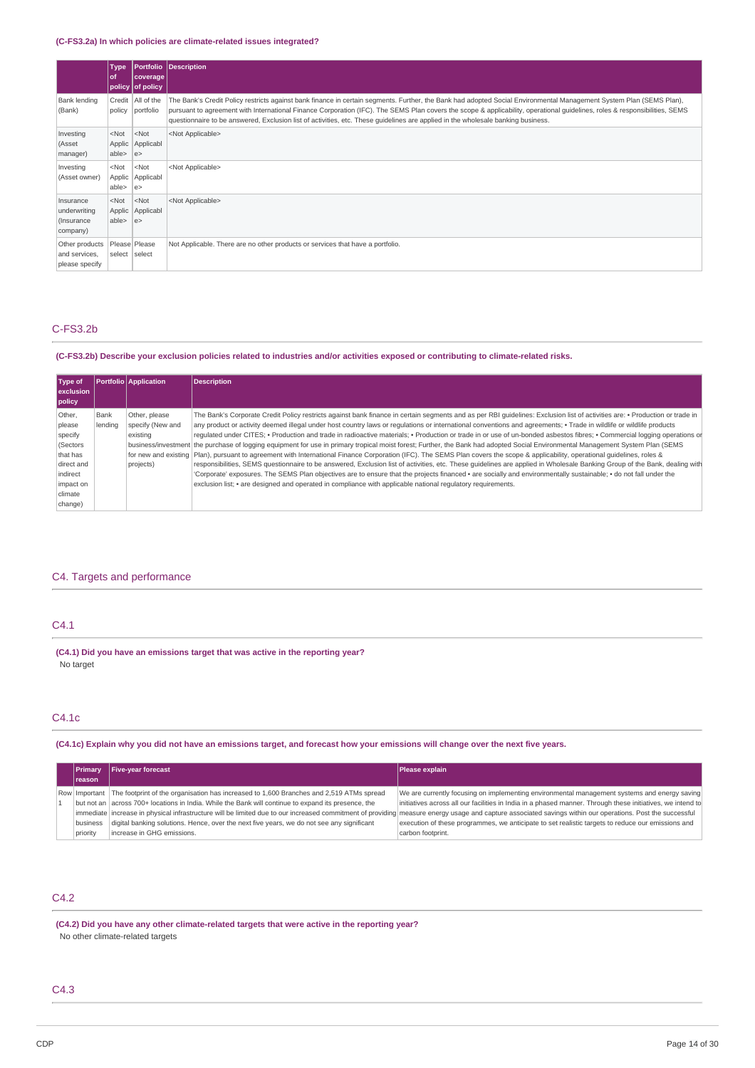### **(C-FS3.2a) In which policies are climate-related issues integrated?**

|                                                      | <b>Type</b><br>l of       | coverage<br>policy of policy            | <b>Portfolio Description</b>                                                                                                                                                                                                                                                                                                                                                                                                                                                          |
|------------------------------------------------------|---------------------------|-----------------------------------------|---------------------------------------------------------------------------------------------------------------------------------------------------------------------------------------------------------------------------------------------------------------------------------------------------------------------------------------------------------------------------------------------------------------------------------------------------------------------------------------|
| Bank lending<br>(Bank)                               |                           | Credit   All of the<br>policy portfolio | The Bank's Credit Policy restricts against bank finance in certain segments. Further, the Bank had adopted Social Environmental Management System Plan (SEMS Plan),<br>pursuant to agreement with International Finance Corporation (IFC). The SEMS Plan covers the scope & applicability, operational guidelines, roles & responsibilities, SEMS<br>questionnaire to be answered, Exclusion list of activities, etc. These quidelines are applied in the wholesale banking business. |
| Investing<br>(Asset<br>manager)                      | $<$ Not<br>able>          | $<$ Not<br>Applic Applicabl<br> e>      | <not applicable=""></not>                                                                                                                                                                                                                                                                                                                                                                                                                                                             |
| Investing<br>(Asset owner)                           | $<$ Not<br>able>          | $<$ Not<br>Applic Applicabl<br> e>      | <not applicable=""></not>                                                                                                                                                                                                                                                                                                                                                                                                                                                             |
| Insurance<br>underwriting<br>(Insurance)<br>company) | <not<br>able&gt;</not<br> | $<$ Not<br>Applic Applicabl<br> e>      | <not applicable=""></not>                                                                                                                                                                                                                                                                                                                                                                                                                                                             |
| Other products<br>and services,<br>please specify    | select select             | Please Please                           | Not Applicable. There are no other products or services that have a portfolio.                                                                                                                                                                                                                                                                                                                                                                                                        |

## C-FS3.2b

### (C-FS3.2b) Describe your exclusion policies related to industries and/or activities exposed or contributing to climate-related risks.

| Type of<br>exclusion<br>policy |         | <b>Portfolio Application</b> | <b>Description</b>                                                                                                                                                                |
|--------------------------------|---------|------------------------------|-----------------------------------------------------------------------------------------------------------------------------------------------------------------------------------|
| Other.                         | Bank    | Other, please                | The Bank's Corporate Credit Policy restricts against bank finance in certain segments and as per RBI quidelines: Exclusion list of activities are: • Production or trade in       |
| please                         | lendina | specify (New and             | any product or activity deemed illegal under host country laws or regulations or international conventions and agreements; • Trade in wildlife or wildlife products               |
| specify                        |         | existina                     | requlated under CITES; • Production and trade in radioactive materials; • Production or trade in or use of un-bonded asbestos fibres; • Commercial logging operations or          |
| (Sectors                       |         |                              | business/investment the purchase of logging equipment for use in primary tropical moist forest; Further, the Bank had adopted Social Environmental Management System Plan (SEMS   |
| that has                       |         |                              | for new and existing   Plan), pursuant to agreement with International Finance Corporation (IFC). The SEMS Plan covers the scope & applicability, operational quidelines, roles & |
| direct and                     |         | projects)                    | responsibilities, SEMS questionnaire to be answered, Exclusion list of activities, etc. These guidelines are applied in Wholesale Banking Group of the Bank, dealing with         |
| indirect                       |         |                              | 'Corporate' exposures. The SEMS Plan objectives are to ensure that the projects financed • are socially and environmentally sustainable; • do not fall under the                  |
| impact on                      |         |                              | exclusion list; • are designed and operated in compliance with applicable national regulatory requirements.                                                                       |
| climate                        |         |                              |                                                                                                                                                                                   |
| change)                        |         |                              |                                                                                                                                                                                   |

## C4. Targets and performance

### C4.1

**(C4.1) Did you have an emissions target that was active in the reporting year?** No target

## C4.1c

### (C4.1c) Explain why you did not have an emissions target, and forecast how your emissions will change over the next five years.

|  | Primary  | <b>Five-year forecast</b>                                                                               | Please explain                                                                                                                                                                                            |
|--|----------|---------------------------------------------------------------------------------------------------------|-----------------------------------------------------------------------------------------------------------------------------------------------------------------------------------------------------------|
|  | reason   |                                                                                                         |                                                                                                                                                                                                           |
|  |          | Row Important   The footprint of the organisation has increased to 1,600 Branches and 2,519 ATMs spread | We are currently focusing on implementing environmental management systems and energy saving                                                                                                              |
|  |          | but not an   across 700+ locations in India. While the Bank will continue to expand its presence, the   | initiatives across all our facilities in India in a phased manner. Through these initiatives, we intend to                                                                                                |
|  |          |                                                                                                         | immediate increase in physical infrastructure will be limited due to our increased commitment of providing measure energy usage and capture associated savings within our operations. Post the successful |
|  | business | digital banking solutions. Hence, over the next five years, we do not see any significant               | execution of these programmes, we anticipate to set realistic targets to reduce our emissions and                                                                                                         |
|  | priority | increase in GHG emissions.                                                                              | carbon footprint.                                                                                                                                                                                         |

## C4.2

**(C4.2) Did you have any other climate-related targets that were active in the reporting year?** No other climate-related targets

## C4.3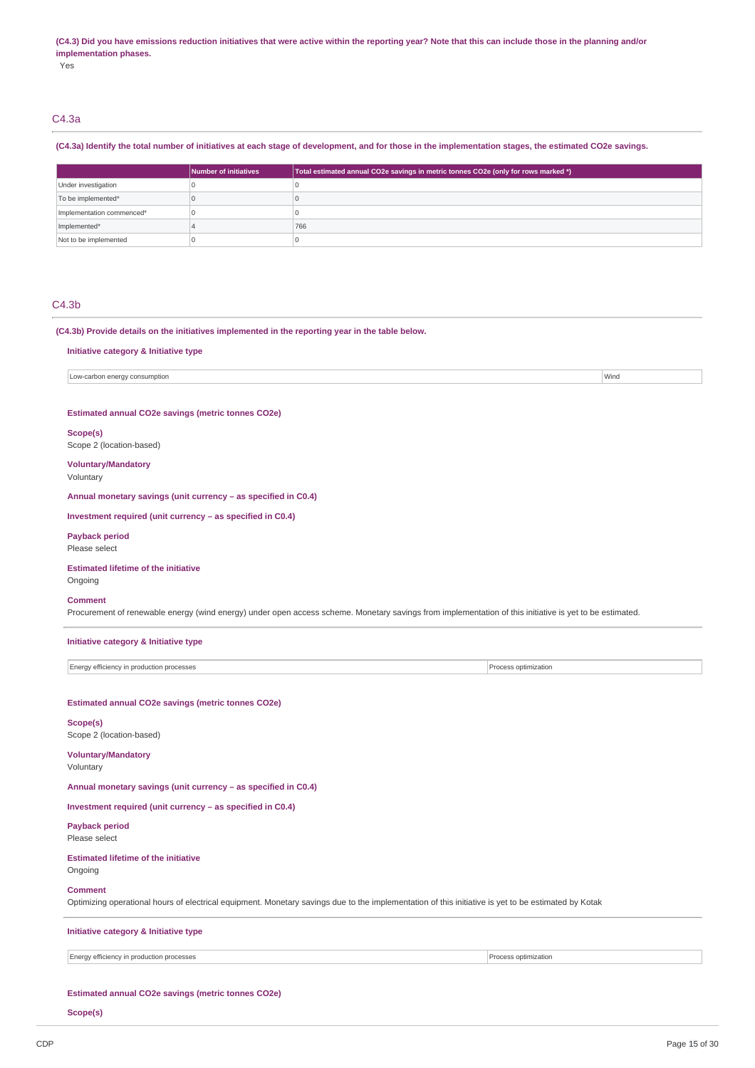#### (C4.3) Did you have emissions reduction initiatives that were active within the reporting year? Note that this can include those in the planning and/or **implementation phases.**

Yes

## C4.3a

### (C4.3a) Identify the total number of initiatives at each stage of development, and for those in the implementation stages, the estimated CO2e savings.

|                           | Number of initiatives | Total estimated annual CO2e savings in metric tonnes CO2e (only for rows marked *) |
|---------------------------|-----------------------|------------------------------------------------------------------------------------|
| Under investigation       |                       |                                                                                    |
| To be implemented*        |                       |                                                                                    |
| Implementation commenced* |                       |                                                                                    |
| Implemented*              |                       | 766                                                                                |
| Not to be implemented     |                       |                                                                                    |

### C4.3b

**(C4.3b) Provide details on the initiatives implemented in the reporting year in the table below.**

**Initiative category & Initiative type**

Low-carbon energy consumption **Window Consumption** Window Consumption **Window Consumption** Window Consumption **Window Consumption** 

**Estimated annual CO2e savings (metric tonnes CO2e)**

#### **Scope(s)**

Scope 2 (location-based)

**Voluntary/Mandatory** Voluntary

**Annual monetary savings (unit currency – as specified in C0.4)**

**Investment required (unit currency – as specified in C0.4)**

### **Payback period**

Please select

#### **Estimated lifetime of the initiative** Ongoing

#### **Comment**

Procurement of renewable energy (wind energy) under open access scheme. Monetary savings from implementation of this initiative is yet to be estimated.

| Initiative category & Initiative type |  |
|---------------------------------------|--|
|---------------------------------------|--|

Energy efficiency in production processes **Process** Process optimization

**Estimated annual CO2e savings (metric tonnes CO2e)**

## **Scope(s)**

Scope 2 (location-based)

**Voluntary/Mandatory** Voluntary

**Annual monetary savings (unit currency – as specified in C0.4)**

**Investment required (unit currency – as specified in C0.4)**

**Payback period** Please select

### **Estimated lifetime of the initiative** Ongoing

#### **Comment**

Optimizing operational hours of electrical equipment. Monetary savings due to the implementation of this initiative is yet to be estimated by Kotak

**Initiative category & Initiative type**

### Energy efficiency in production processes **Process optimization**

### **Estimated annual CO2e savings (metric tonnes CO2e)**

**Scope(s)**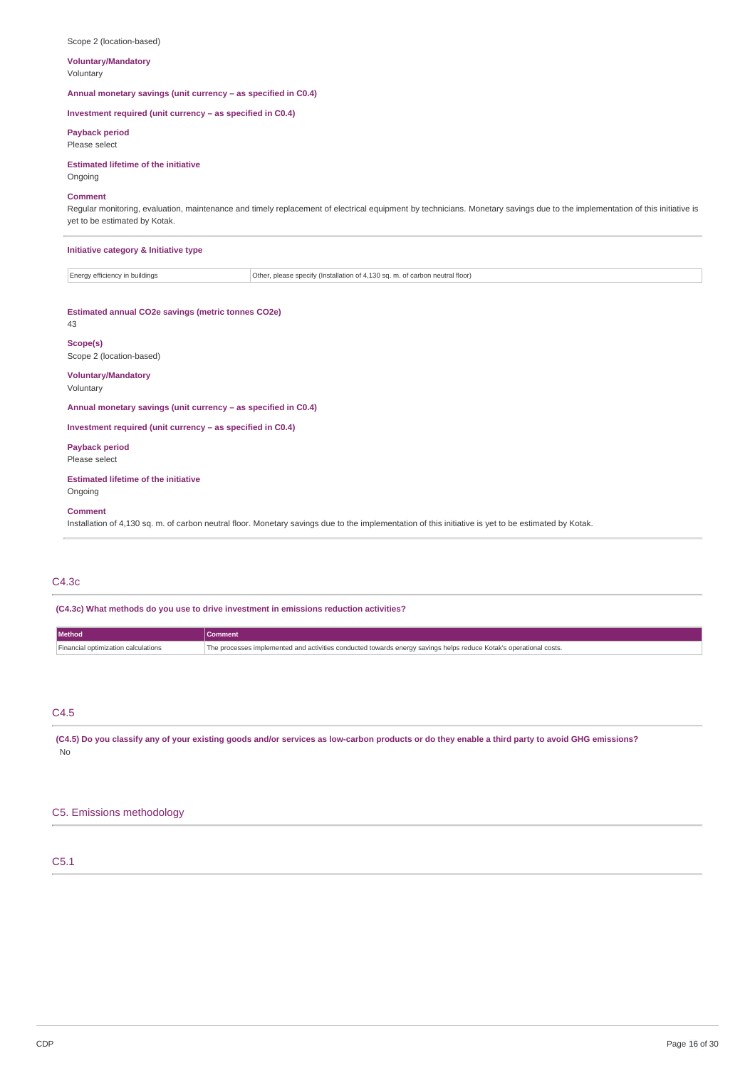| <b>Voluntary/Mandatory</b><br>Voluntary                                                                                                                                                                                        |                                                                              |  |  |
|--------------------------------------------------------------------------------------------------------------------------------------------------------------------------------------------------------------------------------|------------------------------------------------------------------------------|--|--|
| Annual monetary savings (unit currency - as specified in C0.4)                                                                                                                                                                 |                                                                              |  |  |
| Investment required (unit currency - as specified in C0.4)                                                                                                                                                                     |                                                                              |  |  |
| <b>Payback period</b><br>Please select                                                                                                                                                                                         |                                                                              |  |  |
| <b>Estimated lifetime of the initiative</b><br>Ongoing                                                                                                                                                                         |                                                                              |  |  |
| <b>Comment</b><br>Regular monitoring, evaluation, maintenance and timely replacement of electrical equipment by technicians. Monetary savings due to the implementation of this initiative is<br>yet to be estimated by Kotak. |                                                                              |  |  |
| Initiative category & Initiative type                                                                                                                                                                                          |                                                                              |  |  |
| Energy efficiency in buildings                                                                                                                                                                                                 | Other, please specify (Installation of 4,130 sq. m. of carbon neutral floor) |  |  |
| Estimated annual CO2e savings (metric tonnes CO2e)<br>43                                                                                                                                                                       |                                                                              |  |  |
| Scope(s)<br>Scope 2 (location-based)                                                                                                                                                                                           |                                                                              |  |  |
| <b>Voluntary/Mandatory</b><br>Voluntary                                                                                                                                                                                        |                                                                              |  |  |
| Annual monetary savings (unit currency - as specified in C0.4)                                                                                                                                                                 |                                                                              |  |  |
| Investment required (unit currency - as specified in C0.4)                                                                                                                                                                     |                                                                              |  |  |
| <b>Payback period</b><br>Please select                                                                                                                                                                                         |                                                                              |  |  |
| <b>Estimated lifetime of the initiative</b><br>Ongoing                                                                                                                                                                         |                                                                              |  |  |
| <b>Comment</b>                                                                                                                                                                                                                 |                                                                              |  |  |

Installation of 4,130 sq. m. of carbon neutral floor. Monetary savings due to the implementation of this initiative is yet to be estimated by Kotak.

## C4.3c

Scope 2 (location-based)

**(C4.3c) What methods do you use to drive investment in emissions reduction activities?**

| Method                              |                                                                                                                   |
|-------------------------------------|-------------------------------------------------------------------------------------------------------------------|
| Financial optimization calculations | The processes implemented and activities conducted towards energy savings helps reduce Kotak's operational costs. |

C4.5

(C4.5) Do you classify any of your existing goods and/or services as low-carbon products or do they enable a third party to avoid GHG emissions? No

## C5. Emissions methodology

## C5.1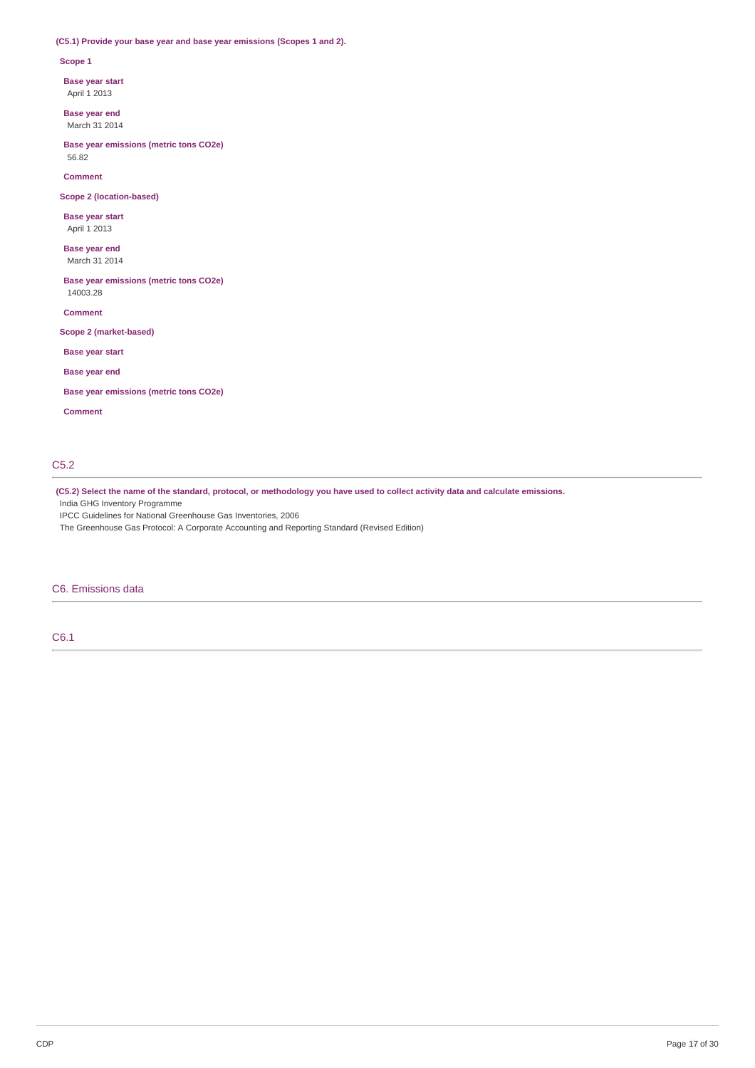### **(C5.1) Provide your base year and base year emissions (Scopes 1 and 2).**

### **Scope 1**

**Base year start**

April 1 2013

**Base year end** March 31 2014

**Base year emissions (metric tons CO2e)** 56.82

**Comment**

**Scope 2 (location-based)**

**Base year start** April 1 2013

**Base year end** March 31 2014

**Base year emissions (metric tons CO2e)** 14003.28

**Comment**

**Scope 2 (market-based)**

**Base year start**

**Base year end**

**Base year emissions (metric tons CO2e)**

**Comment**

## C5.2

(C5.2) Select the name of the standard, protocol, or methodology you have used to collect activity data and calculate emissions.

India GHG Inventory Programme

IPCC Guidelines for National Greenhouse Gas Inventories, 2006

The Greenhouse Gas Protocol: A Corporate Accounting and Reporting Standard (Revised Edition)

## C6. Emissions data

C6.1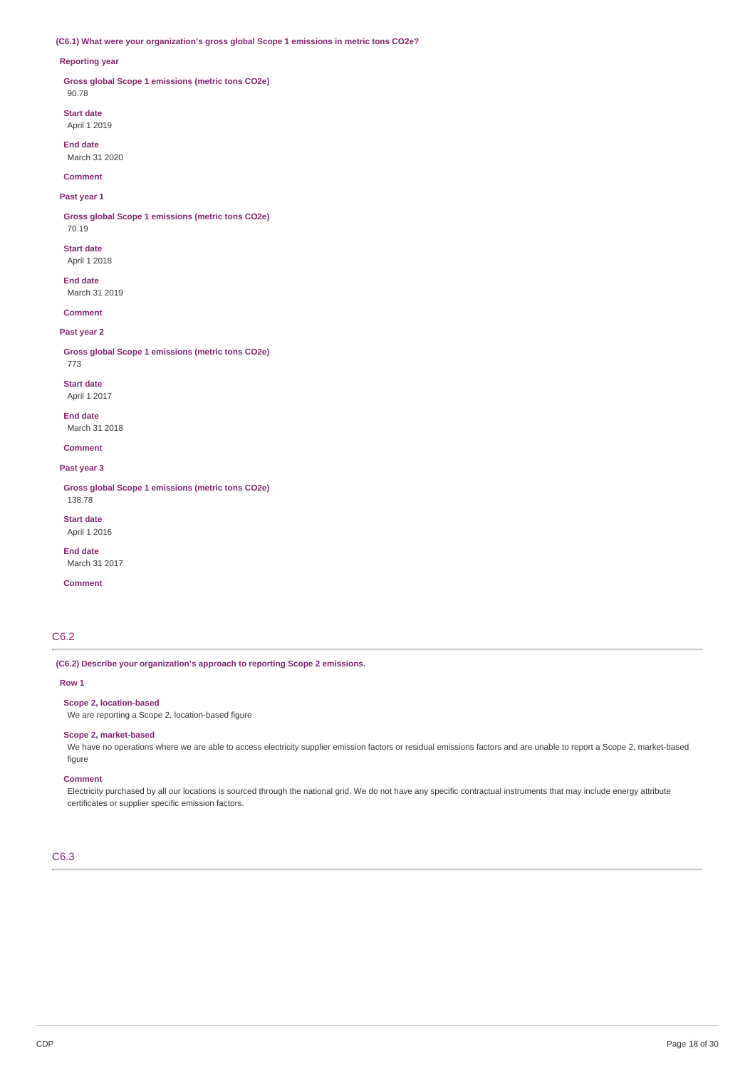### **(C6.1) What were your organization's gross global Scope 1 emissions in metric tons CO2e?**

#### **Reporting year**

**Gross global Scope 1 emissions (metric tons CO2e)** 90.78

**Start date** April 1 2019

**End date** March 31 2020

**Comment**

## **Past year 1**

**Gross global Scope 1 emissions (metric tons CO2e)** 70.19

**Start date**

April 1 2018

**End date** March 31 2019

**Comment**

### **Past year 2**

**Gross global Scope 1 emissions (metric tons CO2e)**

773 **Start date**

April 1 2017

**End date** March 31 2018

**Comment**

**Past year 3**

**Gross global Scope 1 emissions (metric tons CO2e)** 138.78

**Start date** April 1 2016

**End date** March 31 2017

**Comment**

## C6.2

**(C6.2) Describe your organization's approach to reporting Scope 2 emissions.**

### **Row 1**

**Scope 2, location-based**

We are reporting a Scope 2, location-based figure

## **Scope 2, market-based**

We have no operations where we are able to access electricity supplier emission factors or residual emissions factors and are unable to report a Scope 2, market-based figure

#### **Comment**

Electricity purchased by all our locations is sourced through the national grid. We do not have any specific contractual instruments that may include energy attribute certificates or supplier specific emission factors.

## C6.3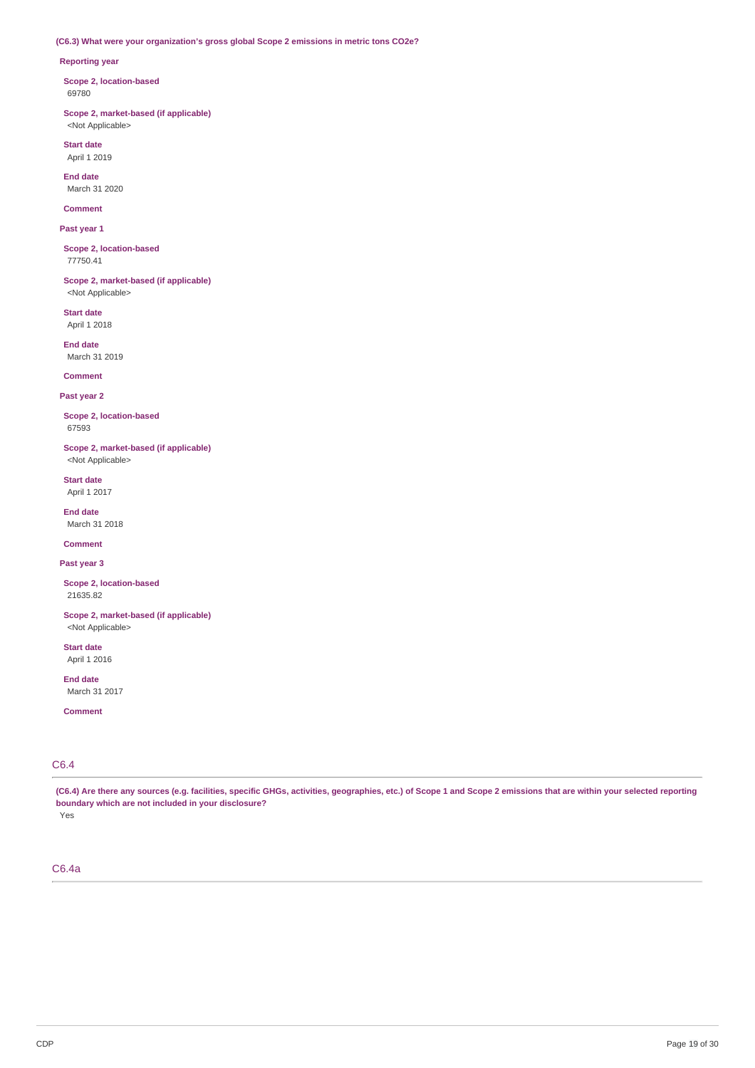### **(C6.3) What were your organization's gross global Scope 2 emissions in metric tons CO2e?**

### **Reporting year**

**Scope 2, location-based** 69780

**Scope 2, market-based (if applicable)** <Not Applicable>

**Start date** April 1 2019

**End date** March 31 2020

**Comment**

**Past year 1**

**Scope 2, location-based** 77750.41

**Scope 2, market-based (if applicable)** <Not Applicable>

**Start date** April 1 2018

**End date** March 31 2019

## **Comment**

**Past year 2**

**Scope 2, location-based** 67593

**Scope 2, market-based (if applicable)** <Not Applicable>

**Start date** April 1 2017

**End date** March 31 2018

**Comment**

**Past year 3**

**Scope 2, location-based** 21635.82

**Scope 2, market-based (if applicable)** <Not Applicable>

**Start date** April 1 2016

**End date** March 31 2017

**Comment**

## C6.4

(C6.4) Are there any sources (e.g. facilities, specific GHGs, activities, geographies, etc.) of Scope 1 and Scope 2 emissions that are within your selected reporting **boundary which are not included in your disclosure?**

Yes

C6.4a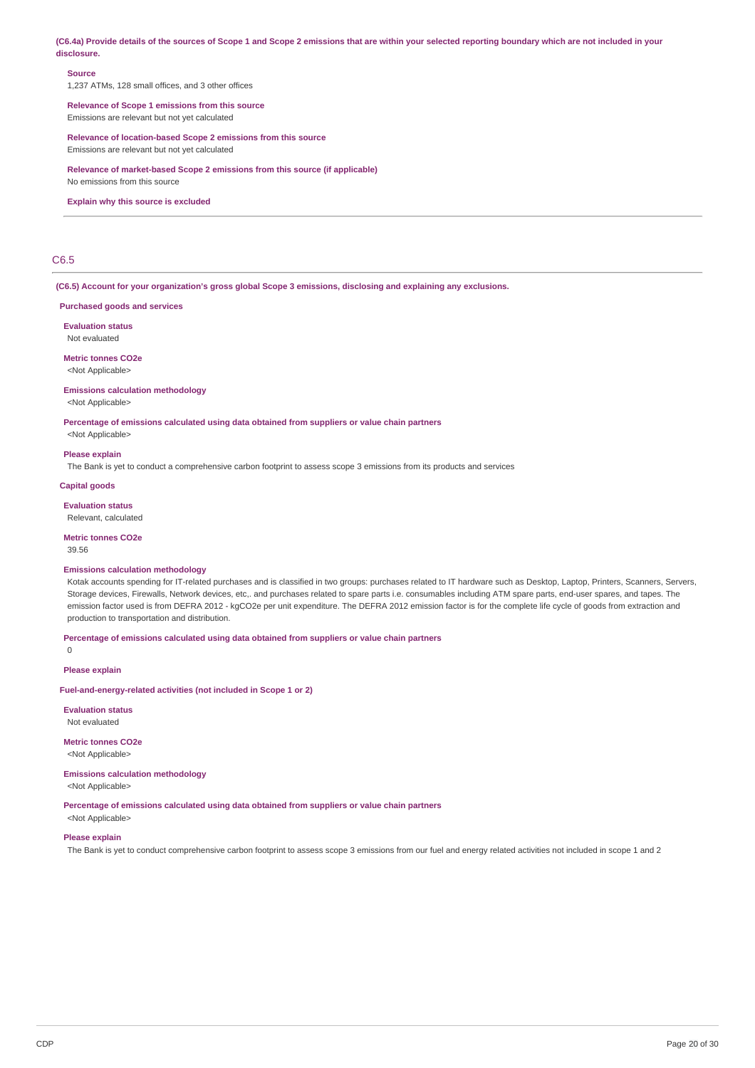(C6.4a) Provide details of the sources of Scope 1 and Scope 2 emissions that are within your selected reporting boundary which are not included in your **disclosure.**

### **Source**

1,237 ATMs, 128 small offices, and 3 other offices

## **Relevance of Scope 1 emissions from this source**

Emissions are relevant but not yet calculated

#### **Relevance of location-based Scope 2 emissions from this source** Emissions are relevant but not yet calculated

**Relevance of market-based Scope 2 emissions from this source (if applicable)**

No emissions from this source

#### **Explain why this source is excluded**

## C6.5

**(C6.5) Account for your organization's gross global Scope 3 emissions, disclosing and explaining any exclusions.**

#### **Purchased goods and services**

**Evaluation status**

Not evaluated

**Metric tonnes CO2e** <Not Applicable>

#### **Emissions calculation methodology**

<Not Applicable>

**Percentage of emissions calculated using data obtained from suppliers or value chain partners**

<Not Applicable>

#### **Please explain**

The Bank is yet to conduct a comprehensive carbon footprint to assess scope 3 emissions from its products and services

#### **Capital goods**

**Evaluation status**

Relevant, calculated

## **Metric tonnes CO2e**

39.56

### **Emissions calculation methodology**

Kotak accounts spending for IT-related purchases and is classified in two groups: purchases related to IT hardware such as Desktop, Laptop, Printers, Scanners, Servers, Storage devices, Firewalls, Network devices, etc,. and purchases related to spare parts i.e. consumables including ATM spare parts, end-user spares, and tapes. The emission factor used is from DEFRA 2012 - kgCO2e per unit expenditure. The DEFRA 2012 emission factor is for the complete life cycle of goods from extraction and production to transportation and distribution.

**Percentage of emissions calculated using data obtained from suppliers or value chain partners**

 $\Omega$ 

#### **Please explain**

**Fuel-and-energy-related activities (not included in Scope 1 or 2)**

**Evaluation status** Not evaluated

**Metric tonnes CO2e** <Not Applicable>

#### **Emissions calculation methodology**

<Not Applicable>

**Percentage of emissions calculated using data obtained from suppliers or value chain partners**

## <Not Applicable> **Please explain**

The Bank is yet to conduct comprehensive carbon footprint to assess scope 3 emissions from our fuel and energy related activities not included in scope 1 and 2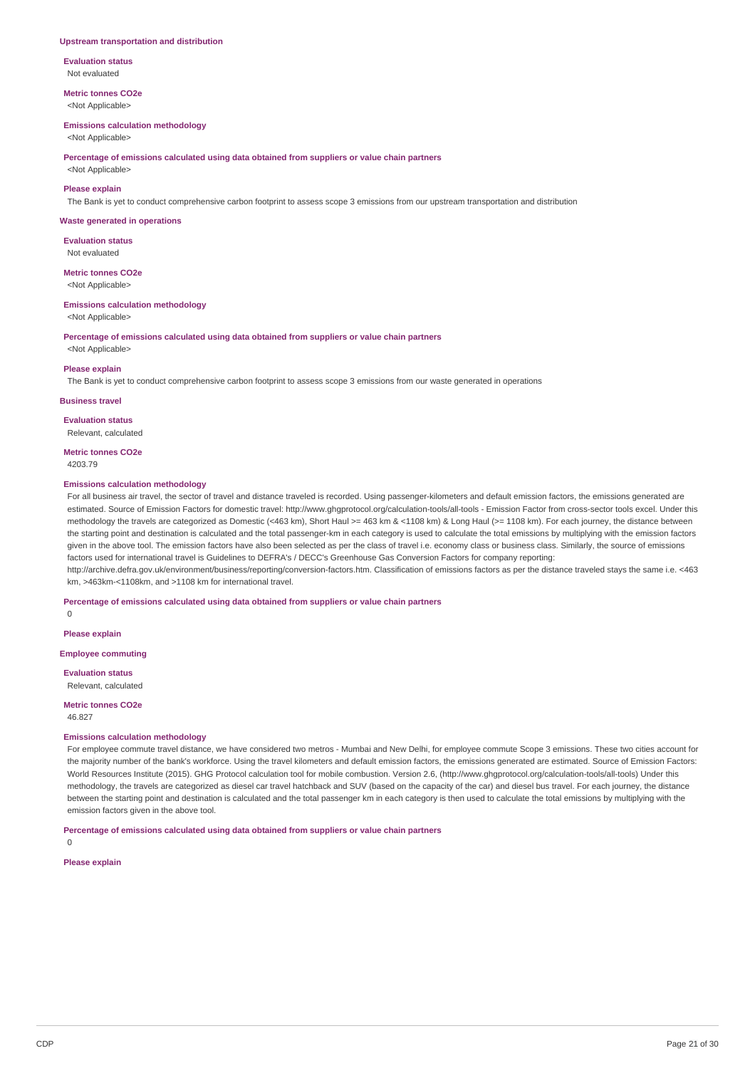#### **Upstream transportation and distribution**

**Evaluation status** Not evaluated

**Metric tonnes CO2e** <Not Applicable>

#### **Emissions calculation methodology**

<Not Applicable>

**Percentage of emissions calculated using data obtained from suppliers or value chain partners**

<Not Applicable>

### **Please explain**

The Bank is yet to conduct comprehensive carbon footprint to assess scope 3 emissions from our upstream transportation and distribution

#### **Waste generated in operations**

**Evaluation status** Not evaluated

**Metric tonnes CO2e** <Not Applicable>

#### **Emissions calculation methodology**

<Not Applicable>

**Percentage of emissions calculated using data obtained from suppliers or value chain partners**

## <Not Applicable> **Please explain**

The Bank is yet to conduct comprehensive carbon footprint to assess scope 3 emissions from our waste generated in operations

**Business travel**

**Evaluation status** Relevant, calculated

**Metric tonnes CO2e** 4203.79

#### **Emissions calculation methodology**

For all business air travel, the sector of travel and distance traveled is recorded. Using passenger-kilometers and default emission factors, the emissions generated are estimated. Source of Emission Factors for domestic travel: http://www.ghgprotocol.org/calculation-tools/all-tools - Emission Factor from cross-sector tools excel. Under this methodology the travels are categorized as Domestic (<463 km), Short Haul >= 463 km & <1108 km) & Long Haul (>= 1108 km). For each journey, the distance between the starting point and destination is calculated and the total passenger-km in each category is used to calculate the total emissions by multiplying with the emission factors given in the above tool. The emission factors have also been selected as per the class of travel i.e. economy class or business class. Similarly, the source of emissions factors used for international travel is Guidelines to DEFRA's / DECC's Greenhouse Gas Conversion Factors for company reporting: http://archive.defra.gov.uk/environment/business/reporting/conversion-factors.htm. Classification of emissions factors as per the distance traveled stays the same i.e. <463

km, >463km-<1108km, and >1108 km for international travel.

**Percentage of emissions calculated using data obtained from suppliers or value chain partners**

 $\Omega$ 

**Please explain**

**Employee commuting**

**Evaluation status** Relevant, calculated

## **Metric tonnes CO2e**

46.827

#### **Emissions calculation methodology**

For employee commute travel distance, we have considered two metros - Mumbai and New Delhi, for employee commute Scope 3 emissions. These two cities account for the majority number of the bank's workforce. Using the travel kilometers and default emission factors, the emissions generated are estimated. Source of Emission Factors: World Resources Institute (2015). GHG Protocol calculation tool for mobile combustion. Version 2.6, (http://www.ghaprotocol.org/calculation-tools/all-tools) Under this methodology, the travels are categorized as diesel car travel hatchback and SUV (based on the capacity of the car) and diesel bus travel. For each journey, the distance between the starting point and destination is calculated and the total passenger km in each category is then used to calculate the total emissions by multiplying with the emission factors given in the above tool.

**Percentage of emissions calculated using data obtained from suppliers or value chain partners**

 $\Omega$ 

**Please explain**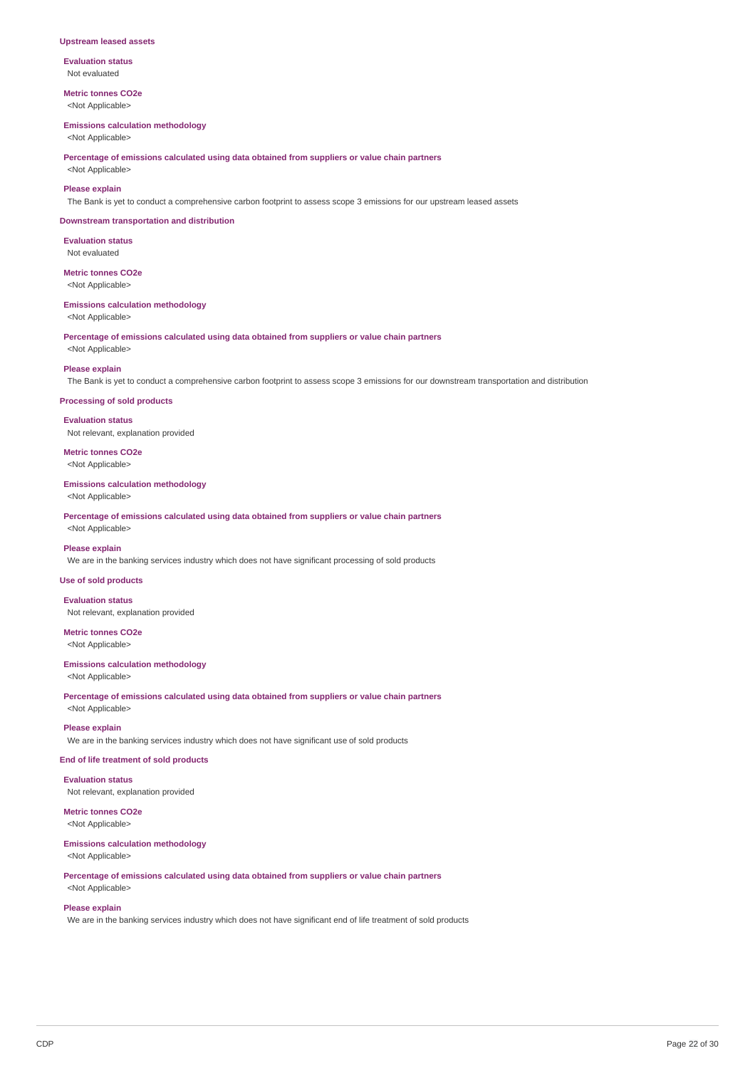#### **Upstream leased assets**

**Evaluation status** Not evaluated

**Metric tonnes CO2e** <Not Applicable>

#### **Emissions calculation methodology**

<Not Applicable>

**Percentage of emissions calculated using data obtained from suppliers or value chain partners**

<Not Applicable>

### **Please explain**

The Bank is yet to conduct a comprehensive carbon footprint to assess scope 3 emissions for our upstream leased assets

#### **Downstream transportation and distribution**

**Evaluation status** Not evaluated

#### **Metric tonnes CO2e** <Not Applicable>

#### **Emissions calculation methodology**

<Not Applicable>

**Percentage of emissions calculated using data obtained from suppliers or value chain partners**

<Not Applicable>

#### **Please explain**

The Bank is yet to conduct a comprehensive carbon footprint to assess scope 3 emissions for our downstream transportation and distribution

#### **Processing of sold products**

**Evaluation status** Not relevant, explanation provided

**Metric tonnes CO2e**

<Not Applicable>

#### **Emissions calculation methodology**

<Not Applicable>

**Percentage of emissions calculated using data obtained from suppliers or value chain partners** <Not Applicable>

### **Please explain**

We are in the banking services industry which does not have significant processing of sold products

### **Use of sold products**

**Evaluation status**

Not relevant, explanation provided

**Metric tonnes CO2e** <Not Applicable>

### **Emissions calculation methodology**

<Not Applicable>

**Percentage of emissions calculated using data obtained from suppliers or value chain partners** <Not Applicable>

#### **Please explain**

We are in the banking services industry which does not have significant use of sold products

### **End of life treatment of sold products**

**Evaluation status**

Not relevant, explanation provided

## **Metric tonnes CO2e**

<Not Applicable>

## **Emissions calculation methodology**

<Not Applicable>

**Percentage of emissions calculated using data obtained from suppliers or value chain partners**

## <Not Applicable> **Please explain**

We are in the banking services industry which does not have significant end of life treatment of sold products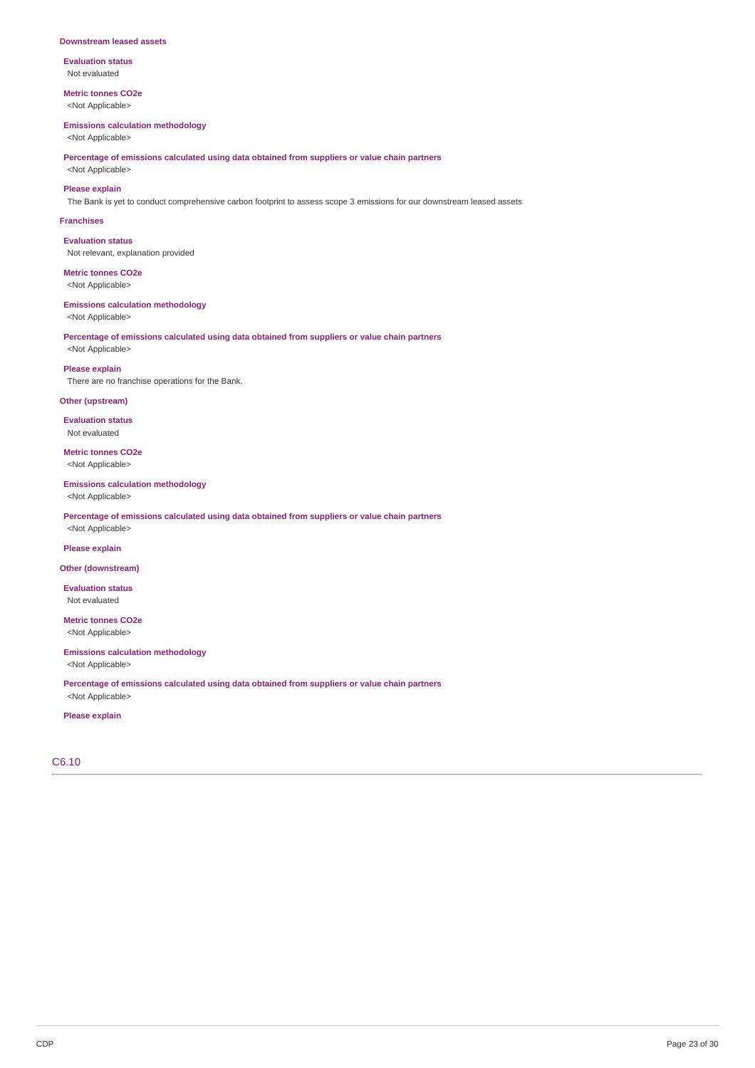#### **Downstream leased assets**

**Evaluation status** Not evaluated

**Metric tonnes CO2e** <Not Applicable>

#### **Emissions calculation methodology**

<Not Applicable>

**Percentage of emissions calculated using data obtained from suppliers or value chain partners**

<Not Applicable>

**Please explain** The Bank is yet to conduct comprehensive carbon footprint to assess scope 3 emissions for our downstream leased assets

#### **Franchises**

**Evaluation status** Not relevant, explanation provided

**Metric tonnes CO2e** <Not Applicable>

#### **Emissions calculation methodology**

<Not Applicable>

**Percentage of emissions calculated using data obtained from suppliers or value chain partners** <Not Applicable>

# **Please explain**

There are no franchise operations for the Bank.

### **Other (upstream)**

**Evaluation status** Not evaluated

**Metric tonnes CO2e** <Not Applicable>

#### **Emissions calculation methodology**

<Not Applicable>

**Percentage of emissions calculated using data obtained from suppliers or value chain partners** <Not Applicable>

### **Please explain**

### **Other (downstream)**

**Evaluation status** Not evaluated

**Metric tonnes CO2e** <Not Applicable>

## **Emissions calculation methodology**

<Not Applicable>

**Percentage of emissions calculated using data obtained from suppliers or value chain partners** <Not Applicable>

## **Please explain**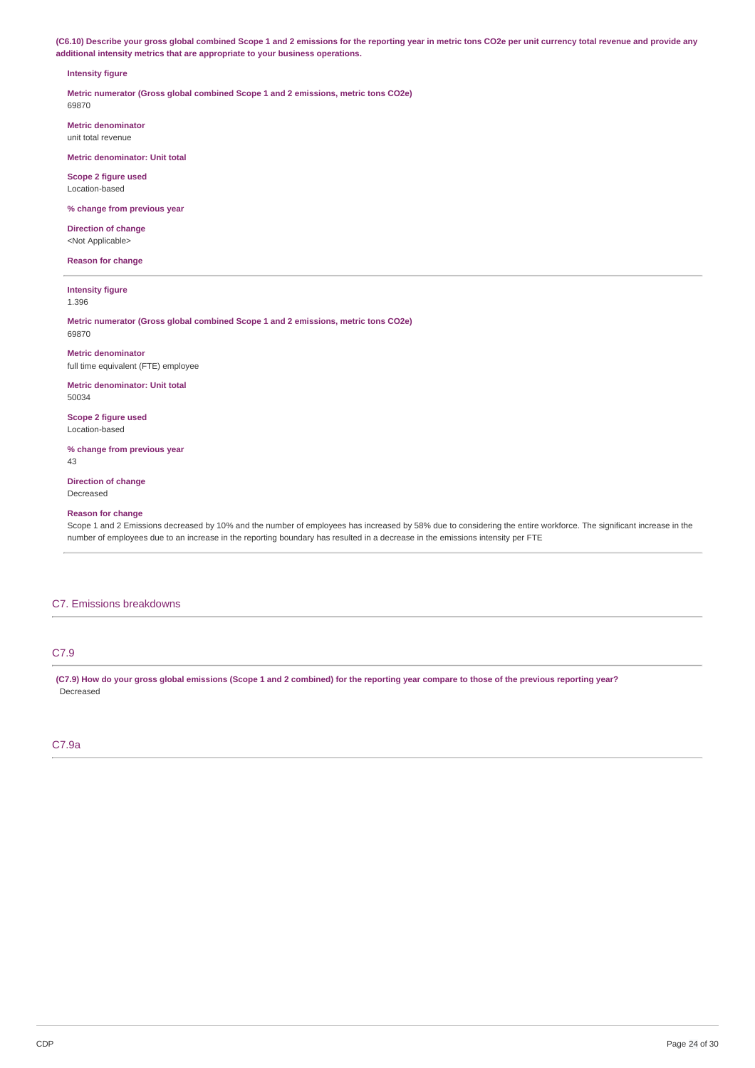(C6.10) Describe your gross global combined Scope 1 and 2 emissions for the reporting year in metric tons CO2e per unit currency total revenue and provide any **additional intensity metrics that are appropriate to your business operations.**

#### **Intensity figure**

**Metric numerator (Gross global combined Scope 1 and 2 emissions, metric tons CO2e)** 69870

**Metric denominator**

unit total revenue

**Metric denominator: Unit total**

**Scope 2 figure used** Location-based

**% change from previous year**

**Direction of change** <Not Applicable>

**Reason for change**

**Intensity figure** 1.396

**Metric numerator (Gross global combined Scope 1 and 2 emissions, metric tons CO2e)** 69870

**Metric denominator** full time equivalent (FTE) employee

**Metric denominator: Unit total** 50034

**Scope 2 figure used** Location-based

**% change from previous year** 43

**Direction of change** Decreased

#### **Reason for change**

Scope 1 and 2 Emissions decreased by 10% and the number of employees has increased by 58% due to considering the entire workforce. The significant increase in the number of employees due to an increase in the reporting boundary has resulted in a decrease in the emissions intensity per FTE

### C7. Emissions breakdowns

## C7.9

(C7.9) How do your gross global emissions (Scope 1 and 2 combined) for the reporting year compare to those of the previous reporting year? Decreased

## C7.9a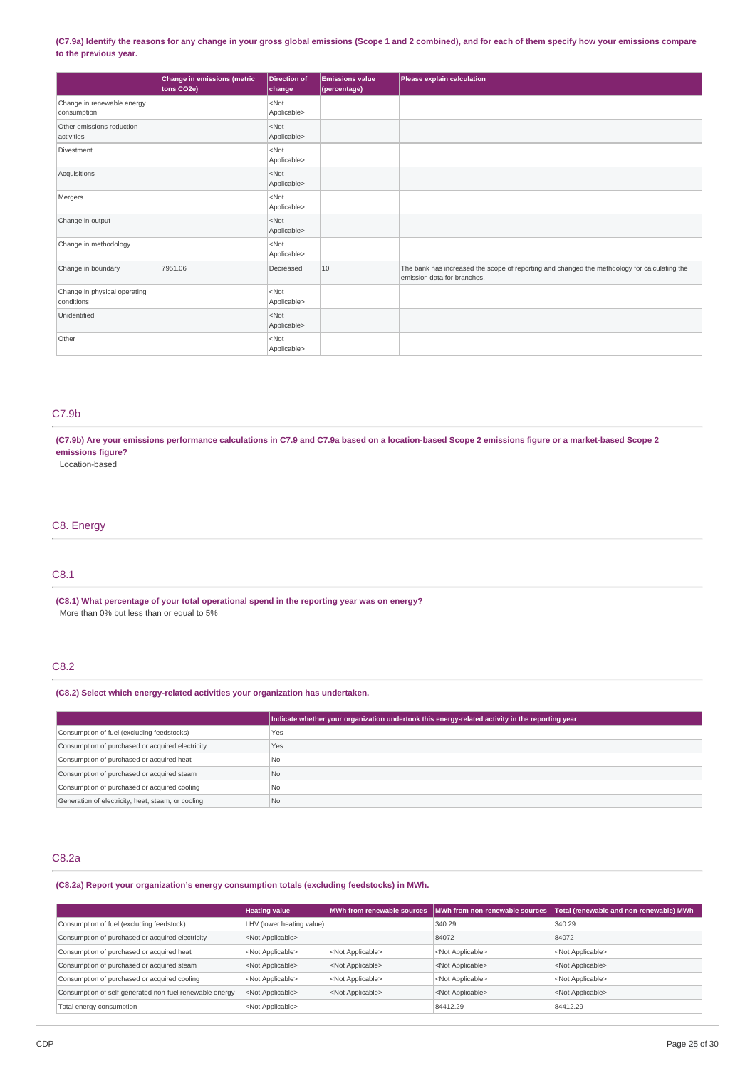### (C7.9a) Identify the reasons for any change in your gross global emissions (Scope 1 and 2 combined), and for each of them specify how your emissions compare **to the previous year.**

|                                            | <b>Change in emissions (metric</b><br>tons CO2e) | <b>Direction of</b><br>change | <b>Emissions value</b><br>(percentage) | Please explain calculation                                                                                                  |
|--------------------------------------------|--------------------------------------------------|-------------------------------|----------------------------------------|-----------------------------------------------------------------------------------------------------------------------------|
| Change in renewable energy<br>consumption  |                                                  | $<$ Not<br>Applicable>        |                                        |                                                                                                                             |
| Other emissions reduction<br>activities    |                                                  | $<$ Not<br>Applicable>        |                                        |                                                                                                                             |
| Divestment                                 |                                                  | $<$ Not<br>Applicable>        |                                        |                                                                                                                             |
| Acquisitions                               |                                                  | $<$ Not<br>Applicable>        |                                        |                                                                                                                             |
| Mergers                                    |                                                  | $<$ Not<br>Applicable>        |                                        |                                                                                                                             |
| Change in output                           |                                                  | $<$ Not<br>Applicable>        |                                        |                                                                                                                             |
| Change in methodology                      |                                                  | $<$ Not<br>Applicable>        |                                        |                                                                                                                             |
| Change in boundary                         | 7951.06                                          | Decreased                     | 10                                     | The bank has increased the scope of reporting and changed the methdology for calculating the<br>emission data for branches. |
| Change in physical operating<br>conditions |                                                  | $<$ Not<br>Applicable>        |                                        |                                                                                                                             |
| Unidentified                               |                                                  | $<$ Not<br>Applicable>        |                                        |                                                                                                                             |
| Other                                      |                                                  | $<$ Not<br>Applicable>        |                                        |                                                                                                                             |

## C7.9b

(C7.9b) Are your emissions performance calculations in C7.9 and C7.9a based on a location-based Scope 2 emissions figure or a market-based Scope 2 **emissions figure?**

Location-based

## C8. Energy

## C8.1

**(C8.1) What percentage of your total operational spend in the reporting year was on energy?** More than 0% but less than or equal to 5%

## C8.2

### **(C8.2) Select which energy-related activities your organization has undertaken.**

|                                                    | Indicate whether your organization undertook this energy-related activity in the reporting year |
|----------------------------------------------------|-------------------------------------------------------------------------------------------------|
| Consumption of fuel (excluding feedstocks)         | Yes                                                                                             |
| Consumption of purchased or acquired electricity   | Yes                                                                                             |
| Consumption of purchased or acquired heat          | N <sub>0</sub>                                                                                  |
| Consumption of purchased or acquired steam         | N <sub>o</sub>                                                                                  |
| Consumption of purchased or acquired cooling       | N <sub>0</sub>                                                                                  |
| Generation of electricity, heat, steam, or cooling | N <sub>0</sub>                                                                                  |

## C8.2a

**(C8.2a) Report your organization's energy consumption totals (excluding feedstocks) in MWh.**

|                                                         | <b>Heating value</b>      | <b>MWh from renewable sources</b> | MWh from non-renewable sources | Total (renewable and non-renewable) MWh |
|---------------------------------------------------------|---------------------------|-----------------------------------|--------------------------------|-----------------------------------------|
| Consumption of fuel (excluding feedstock)               | LHV (lower heating value) |                                   | 340.29                         | 340.29                                  |
| Consumption of purchased or acquired electricity        | <not applicable=""></not> |                                   | 84072                          | 84072                                   |
| Consumption of purchased or acquired heat               | <not applicable=""></not> | <not applicable=""></not>         | <not applicable=""></not>      | <not applicable=""></not>               |
| Consumption of purchased or acquired steam              | <not applicable=""></not> | <not applicable=""></not>         | <not applicable=""></not>      | <not applicable=""></not>               |
| Consumption of purchased or acquired cooling            | <not applicable=""></not> | <not applicable=""></not>         | <not applicable=""></not>      | <not applicable=""></not>               |
| Consumption of self-generated non-fuel renewable energy | <not applicable=""></not> | <not applicable=""></not>         | <not applicable=""></not>      | <not applicable=""></not>               |
| Total energy consumption                                | <not applicable=""></not> |                                   | 84412.29                       | 84412.29                                |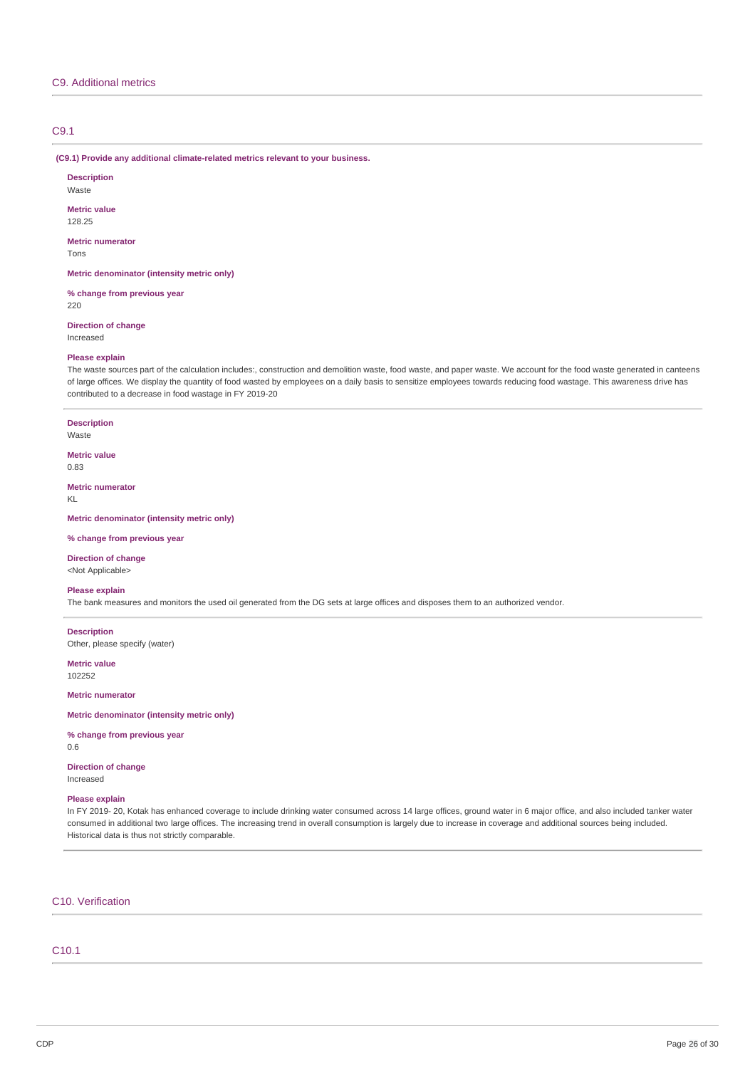## C9. Additional metrics

### C9.1

**(C9.1) Provide any additional climate-related metrics relevant to your business.**

**Description** Waste **Metric value** 128.25 **Metric numerator** Tons **Metric denominator (intensity metric only)**

**% change from previous year** 220

**Direction of change**

Increased

#### **Please explain**

The waste sources part of the calculation includes:, construction and demolition waste, food waste, and paper waste. We account for the food waste generated in canteens of large offices. We display the quantity of food wasted by employees on a daily basis to sensitize employees towards reducing food wastage. This awareness drive has contributed to a decrease in food wastage in FY 2019-20

**Description**

Waste

**Metric value** 0.83

**Metric numerator** KL

**Metric denominator (intensity metric only)**

#### **% change from previous year**

**Direction of change** <Not Applicable>

## **Please explain**

The bank measures and monitors the used oil generated from the DG sets at large offices and disposes them to an authorized vendor.

**Description** Other, please specify (water)

**Metric value** 102252

**Metric numerator**

**Metric denominator (intensity metric only)**

### **% change from previous year**

0.6

**Direction of change** Increased

#### **Please explain**

In FY 2019- 20, Kotak has enhanced coverage to include drinking water consumed across 14 large offices, ground water in 6 major office, and also included tanker water consumed in additional two large offices. The increasing trend in overall consumption is largely due to increase in coverage and additional sources being included. Historical data is thus not strictly comparable.

## C10. Verification

## C10.1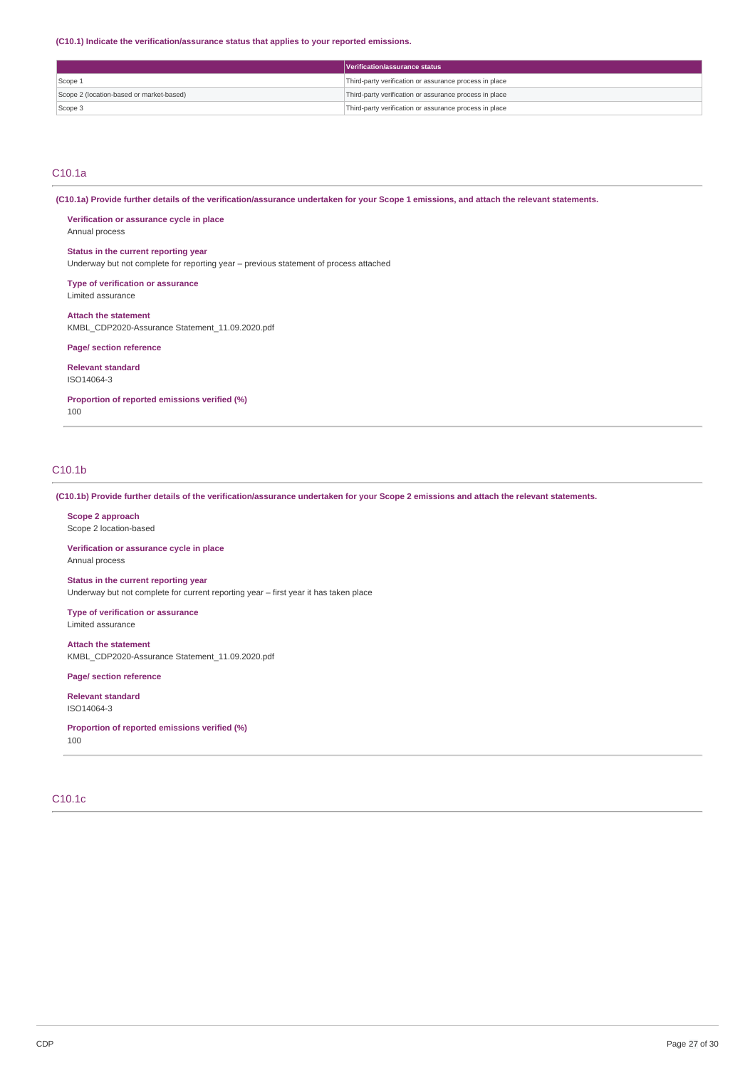**(C10.1) Indicate the verification/assurance status that applies to your reported emissions.**

|                                          | Verification/assurance status                          |
|------------------------------------------|--------------------------------------------------------|
| Scope 1                                  | Third-party verification or assurance process in place |
| Scope 2 (location-based or market-based) | Third-party verification or assurance process in place |
| Scope 3                                  | Third-party verification or assurance process in place |

### C10.1a

(C10.1a) Provide further details of the verification/assurance undertaken for your Scope 1 emissions, and attach the relevant statements.

**Verification or assurance cycle in place** Annual process

## **Status in the current reporting year**

Underway but not complete for reporting year – previous statement of process attached

**Type of verification or assurance** Limited assurance

**Attach the statement** KMBL\_CDP2020-Assurance Statement\_11.09.2020.pdf

**Page/ section reference**

**Relevant standard** ISO14064-3

**Proportion of reported emissions verified (%)**

100

## C10.1b

(C10.1b) Provide further details of the verification/assurance undertaken for your Scope 2 emissions and attach the relevant statements.

**Scope 2 approach** Scope 2 location-based

**Verification or assurance cycle in place** Annual process

**Status in the current reporting year** Underway but not complete for current reporting year – first year it has taken place

**Type of verification or assurance** Limited assurance

**Attach the statement** KMBL\_CDP2020-Assurance Statement\_11.09.2020.pdf

**Page/ section reference**

**Relevant standard** ISO14064-3

**Proportion of reported emissions verified (%)** 100

## C10.1c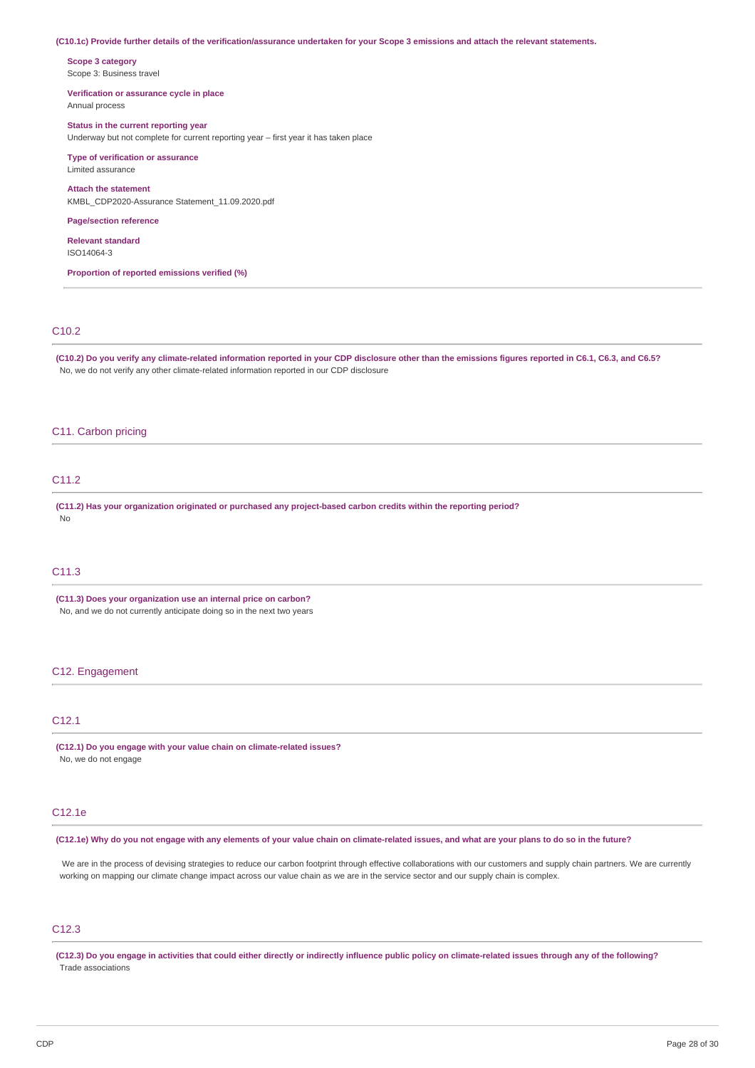#### (C10.1c) Provide further details of the verification/assurance undertaken for your Scope 3 emissions and attach the relevant statements.

**Scope 3 category** Scope 3: Business travel

#### **Verification or assurance cycle in place** Annual process

### **Status in the current reporting year**

Underway but not complete for current reporting year – first year it has taken place

## **Type of verification or assurance**

Limited assurance

### **Attach the statement** KMBL\_CDP2020-Assurance Statement\_11.09.2020.pdf

#### **Page/section reference**

**Relevant standard**

ISO14064-3

**Proportion of reported emissions verified (%)**

## C10.2

(C10.2) Do you verify any climate-related information reported in your CDP disclosure other than the emissions figures reported in C6.1, C6.3, and C6.5? No, we do not verify any other climate-related information reported in our CDP disclosure

### C11. Carbon pricing

## C11.2

**(C11.2) Has your organization originated or purchased any project-based carbon credits within the reporting period?** No

### C11.3

**(C11.3) Does your organization use an internal price on carbon?** No, and we do not currently anticipate doing so in the next two years

### C12. Engagement

## C12.1

**(C12.1) Do you engage with your value chain on climate-related issues?** No, we do not engage

## C12.1e

(C12.1e) Why do you not engage with any elements of your value chain on climate-related issues, and what are your plans to do so in the future?

We are in the process of devising strategies to reduce our carbon footprint through effective collaborations with our customers and supply chain partners. We are currently working on mapping our climate change impact across our value chain as we are in the service sector and our supply chain is complex.

## C12.3

(C12.3) Do you engage in activities that could either directly or indirectly influence public policy on climate-related issues through any of the following? Trade associations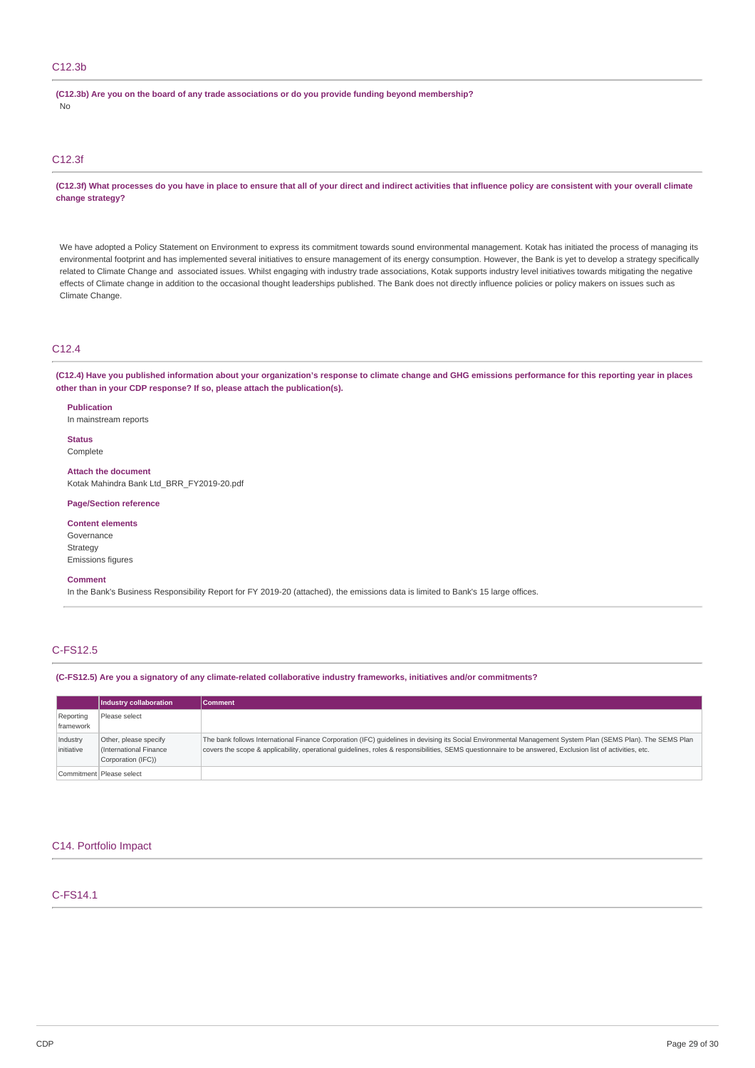### C12.3b

**(C12.3b) Are you on the board of any trade associations or do you provide funding beyond membership?** No

### C12.3f

(C12.3f) What processes do you have in place to ensure that all of your direct and indirect activities that influence policy are consistent with your overall climate **change strategy?**

We have adopted a Policy Statement on Environment to express its commitment towards sound environmental management. Kotak has initiated the process of managing its environmental footprint and has implemented several initiatives to ensure management of its energy consumption. However, the Bank is yet to develop a strategy specifically related to Climate Change and associated issues. Whilst engaging with industry trade associations, Kotak supports industry level initiatives towards mitigating the negative effects of Climate change in addition to the occasional thought leaderships published. The Bank does not directly influence policies or policy makers on issues such as Climate Change.

### C12.4

(C12.4) Have you published information about your organization's response to climate change and GHG emissions performance for this reporting year in places **other than in your CDP response? If so, please attach the publication(s).**

**Publication**

In mainstream reports

**Status** Complete

**Attach the document** Kotak Mahindra Bank Ltd\_BRR\_FY2019-20.pdf

#### **Page/Section reference**

**Content elements** Governance Strategy Emissions figures

#### **Comment**

In the Bank's Business Responsibility Report for FY 2019-20 (attached), the emissions data is limited to Bank's 15 large offices.

## C-FS12.5

**(C-FS12.5) Are you a signatory of any climate-related collaborative industry frameworks, initiatives and/or commitments?**

|                        | Industry collaboration                                                | <b>Comment</b>                                                                                                                                                                                                                                                                                                          |
|------------------------|-----------------------------------------------------------------------|-------------------------------------------------------------------------------------------------------------------------------------------------------------------------------------------------------------------------------------------------------------------------------------------------------------------------|
| Reporting<br>framework | Please select                                                         |                                                                                                                                                                                                                                                                                                                         |
| Industry<br>initiative | Other, please specify<br>(International Finance<br>Corporation (IFC)) | The bank follows International Finance Corporation (IFC) guidelines in devising its Social Environmental Management System Plan (SEMS Plan). The SEMS Plan<br>covers the scope & applicability, operational quidelines, roles & responsibilities, SEMS questionnaire to be answered, Exclusion list of activities, etc. |
|                        | Commitment   Please select                                            |                                                                                                                                                                                                                                                                                                                         |

#### C14. Portfolio Impact

## C-FS14.1